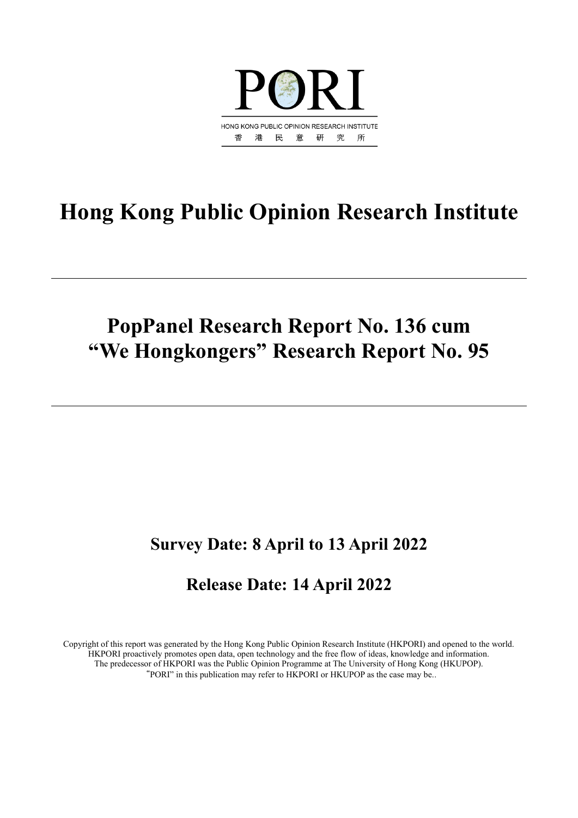

# **Hong Kong Public Opinion Research Institute**

## **PopPanel Research Report No. 136 cum "We Hongkongers" Research Report No. 95**

## **Survey Date: 8 April to 13 April 2022**

## **Release Date: 14 April 2022**

Copyright of this report was generated by the Hong Kong Public Opinion Research Institute (HKPORI) and opened to the world. HKPORI proactively promotes open data, open technology and the free flow of ideas, knowledge and information. The predecessor of HKPORI was the Public Opinion Programme at The University of Hong Kong (HKUPOP). "PORI" in this publication may refer to HKPORI or HKUPOP as the case may be..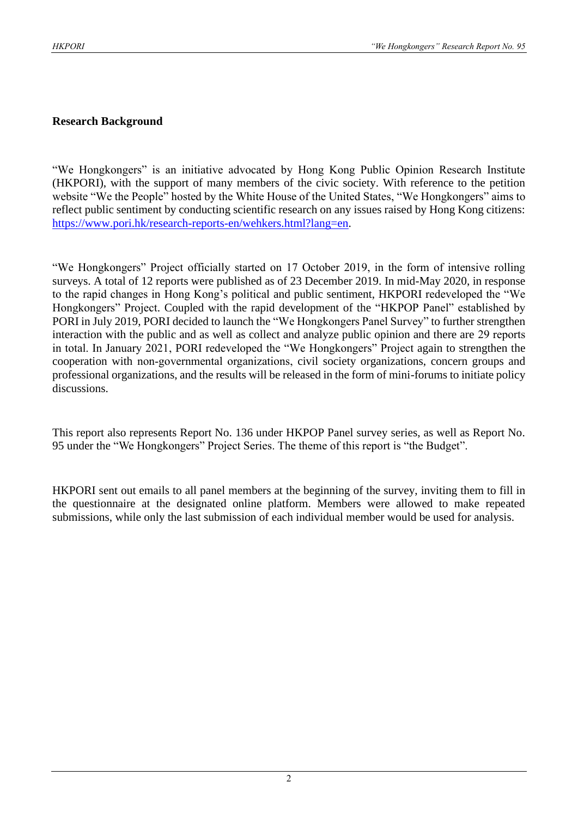#### **Research Background**

"We Hongkongers" is an initiative advocated by Hong Kong Public Opinion Research Institute (HKPORI), with the support of many members of the civic society. With reference to the petition website "We the People" hosted by the White House of the United States, "We Hongkongers" aims to reflect public sentiment by conducting scientific research on any issues raised by Hong Kong citizens: [https://www.pori.hk/research-reports-en/wehkers.html?lang=en.](https://www.pori.hk/research-reports-en/wehkers.html?lang=en)

"We Hongkongers" Project officially started on 17 October 2019, in the form of intensive rolling surveys. A total of 12 reports were published as of 23 December 2019. In mid-May 2020, in response to the rapid changes in Hong Kong's political and public sentiment, HKPORI redeveloped the "We Hongkongers" Project. Coupled with the rapid development of the "HKPOP Panel" established by PORI in July 2019, PORI decided to launch the "We Hongkongers Panel Survey" to further strengthen interaction with the public and as well as collect and analyze public opinion and there are 29 reports in total. In January 2021, PORI redeveloped the "We Hongkongers" Project again to strengthen the cooperation with non-governmental organizations, civil society organizations, concern groups and professional organizations, and the results will be released in the form of mini-forums to initiate policy discussions.

This report also represents Report No. 136 under HKPOP Panel survey series, as well as Report No. 95 under the "We Hongkongers" Project Series. The theme of this report is "the Budget".

HKPORI sent out emails to all panel members at the beginning of the survey, inviting them to fill in the questionnaire at the designated online platform. Members were allowed to make repeated submissions, while only the last submission of each individual member would be used for analysis.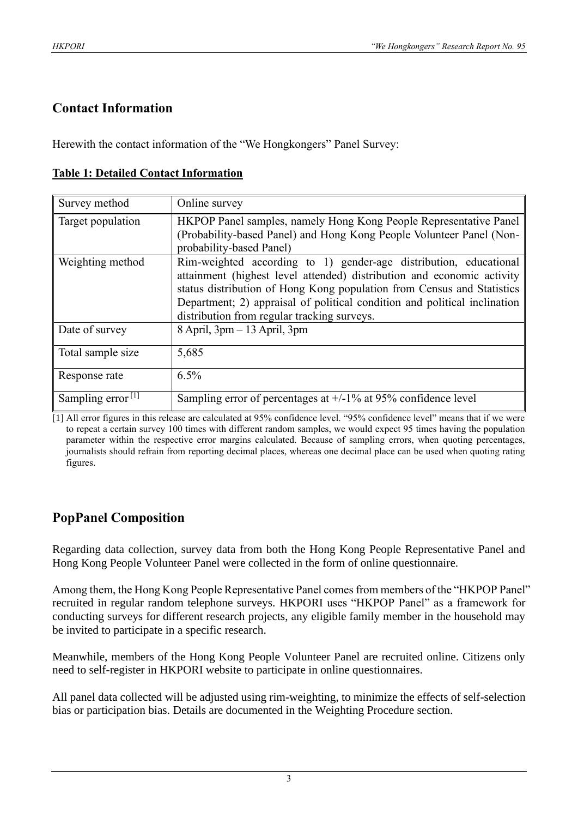#### **Contact Information**

Herewith the contact information of the "We Hongkongers" Panel Survey:

| Survey method                 | Online survey                                                                                                                                                                                                                                                                                                                                     |
|-------------------------------|---------------------------------------------------------------------------------------------------------------------------------------------------------------------------------------------------------------------------------------------------------------------------------------------------------------------------------------------------|
| Target population             | HKPOP Panel samples, namely Hong Kong People Representative Panel<br>(Probability-based Panel) and Hong Kong People Volunteer Panel (Non-<br>probability-based Panel)                                                                                                                                                                             |
| Weighting method              | Rim-weighted according to 1) gender-age distribution, educational<br>attainment (highest level attended) distribution and economic activity<br>status distribution of Hong Kong population from Census and Statistics<br>Department; 2) appraisal of political condition and political inclination<br>distribution from regular tracking surveys. |
| Date of survey                | $8$ April, $3$ pm $-13$ April, $3$ pm                                                                                                                                                                                                                                                                                                             |
| Total sample size             | 5,685                                                                                                                                                                                                                                                                                                                                             |
| Response rate                 | $6.5\%$                                                                                                                                                                                                                                                                                                                                           |
| Sampling error <sup>[1]</sup> | Sampling error of percentages at $+/-1\%$ at 95% confidence level                                                                                                                                                                                                                                                                                 |

#### **Table 1: Detailed Contact Information**

[1] All error figures in this release are calculated at 95% confidence level. "95% confidence level" means that if we were to repeat a certain survey 100 times with different random samples, we would expect 95 times having the population parameter within the respective error margins calculated. Because of sampling errors, when quoting percentages, journalists should refrain from reporting decimal places, whereas one decimal place can be used when quoting rating figures.

#### **PopPanel Composition**

Regarding data collection, survey data from both the Hong Kong People Representative Panel and Hong Kong People Volunteer Panel were collected in the form of online questionnaire.

Among them, the Hong Kong People Representative Panel comes from members of the "HKPOP Panel" recruited in regular random telephone surveys. HKPORI uses "HKPOP Panel" as a framework for conducting surveys for different research projects, any eligible family member in the household may be invited to participate in a specific research.

Meanwhile, members of the Hong Kong People Volunteer Panel are recruited online. Citizens only need to self-register in HKPORI website to participate in online questionnaires.

All panel data collected will be adjusted using rim-weighting, to minimize the effects of self-selection bias or participation bias. Details are documented in the Weighting Procedure section.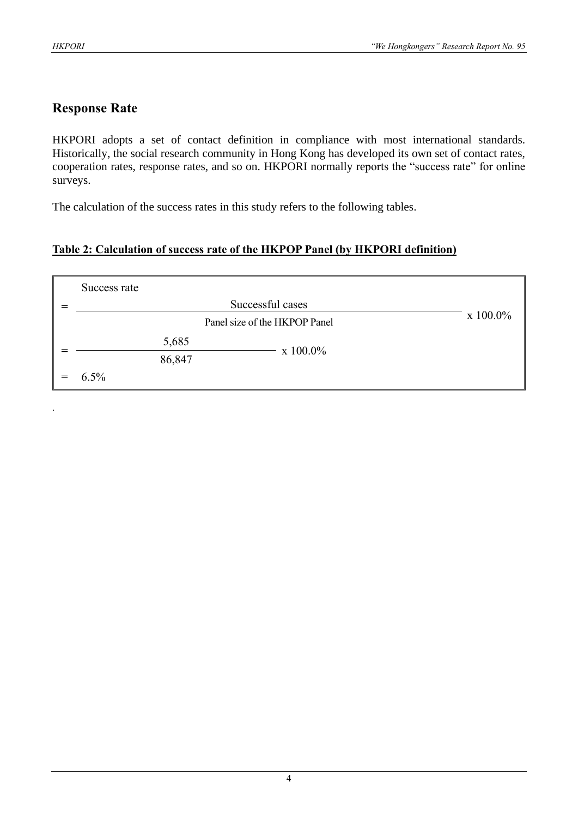.

#### **Response Rate**

HKPORI adopts a set of contact definition in compliance with most international standards. Historically, the social research community in Hong Kong has developed its own set of contact rates, cooperation rates, response rates, and so on. HKPORI normally reports the "success rate" for online surveys.

The calculation of the success rates in this study refers to the following tables.

#### **Table 2: Calculation of success rate of the HKPOP Panel (by HKPORI definition)**

| Success rate |             |                  |  |
|--------------|-------------|------------------|--|
|              |             | Successful cases |  |
|              | $x 100.0\%$ |                  |  |
|              | 5,685       | $x 100.0\%$      |  |
|              | 86,847      |                  |  |
| 6.5%         |             |                  |  |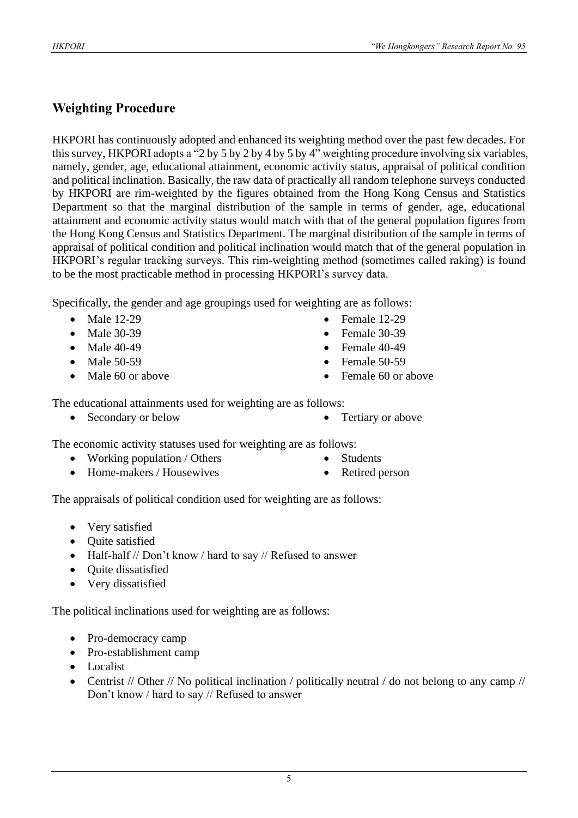### **Weighting Procedure**

HKPORI has continuously adopted and enhanced its weighting method over the past few decades. For this survey, HKPORI adopts a "2 by 5 by 2 by 4 by 5 by 4" weighting procedure involving six variables, namely, gender, age, educational attainment, economic activity status, appraisal of political condition and political inclination. Basically, the raw data of practically all random telephone surveys conducted by HKPORI are rim-weighted by the figures obtained from the Hong Kong Census and Statistics Department so that the marginal distribution of the sample in terms of gender, age, educational attainment and economic activity status would match with that of the general population figures from the Hong Kong Census and Statistics Department. The marginal distribution of the sample in terms of appraisal of political condition and political inclination would match that of the general population in HKPORI's regular tracking surveys. This rim-weighting method (sometimes called raking) is found to be the most practicable method in processing HKPORI's survey data.

Specifically, the gender and age groupings used for weighting are as follows:

- Male 12-29
- Male 30-39
- Male 40-49
- Male 50-59
- Male 60 or above
- Female 12-29
- Female 30-39
- $\bullet$  Female 40-49
- Female  $50-59$
- Female 60 or above

The educational attainments used for weighting are as follows:

• Secondary or below • Tertiary or above

The economic activity statuses used for weighting are as follows:

- Working population / Others
- Home-makers / Housewives
- **Students**
- Retired person

The appraisals of political condition used for weighting are as follows:

- Very satisfied
- Ouite satisfied
- Half-half // Don't know / hard to say // Refused to answer
- Quite dissatisfied
- Very dissatisfied

The political inclinations used for weighting are as follows:

- Pro-democracy camp
- Pro-establishment camp
- Localist
- Centrist // Other // No political inclination / politically neutral / do not belong to any camp // Don't know / hard to say // Refused to answer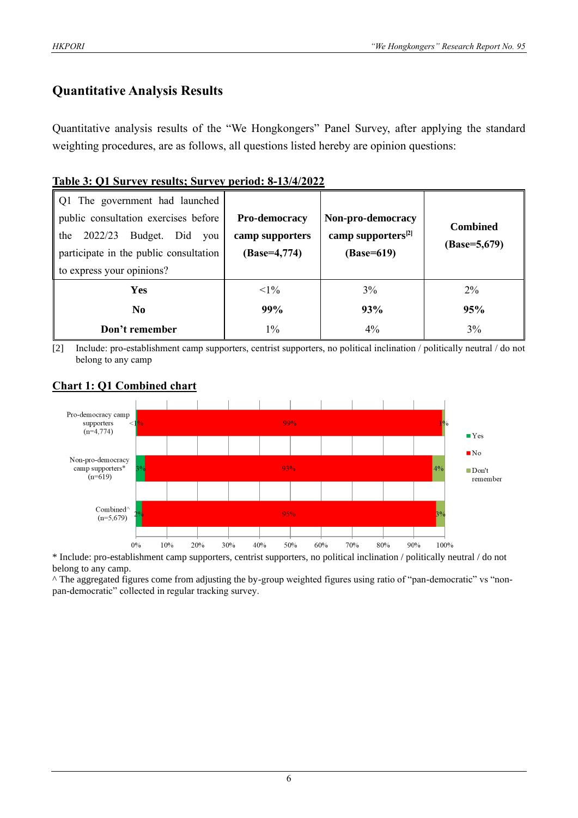#### **Quantitative Analysis Results**

Quantitative analysis results of the "We Hongkongers" Panel Survey, after applying the standard weighting procedures, are as follows, all questions listed hereby are opinion questions:

#### **Table 3: Q1 Survey results; Survey period: 8-13/4/2022**

| Q1 The government had launched         |                 |                                |                 |  |  |  |  |  |  |  |  |  |  |
|----------------------------------------|-----------------|--------------------------------|-----------------|--|--|--|--|--|--|--|--|--|--|
| public consultation exercises before   | Pro-democracy   | Non-pro-democracy              | <b>Combined</b> |  |  |  |  |  |  |  |  |  |  |
| 2022/23<br>Budget. Did<br>the<br>you   | camp supporters | camp supporters <sup>[2]</sup> |                 |  |  |  |  |  |  |  |  |  |  |
| participate in the public consultation | $(Base=4,774)$  | (Base=619)                     | (Base=5,679)    |  |  |  |  |  |  |  |  |  |  |
| to express your opinions?              |                 |                                |                 |  |  |  |  |  |  |  |  |  |  |
| <b>Yes</b>                             | $<1\%$          | 3%                             | $2\%$           |  |  |  |  |  |  |  |  |  |  |
| No.                                    | 99%             | 93%                            | 95%             |  |  |  |  |  |  |  |  |  |  |
| Don't remember                         | $1\%$           | 4%                             | 3%              |  |  |  |  |  |  |  |  |  |  |

[2] Include: pro-establishment camp supporters, centrist supporters, no political inclination / politically neutral / do not belong to any camp

#### Pro-democracy camp 99% supporters  $(n=4,774)$  $\blacksquare$  Yes  $\blacksquare$  No Non-pro-democracy 93% camp supporters\*  $\Box$  Don't  $(n=619)$ remember  $Combined'$  $95%$  $(n=5,679)$  $0\%$  $10\%$ 20% 30%  $40%$ 50%  $60%$ 70%  $80\%$ 90%  $100%$

#### **Chart 1: Q1 Combined chart**

\* Include: pro-establishment camp supporters, centrist supporters, no political inclination / politically neutral / do not belong to any camp.

^ The aggregated figures come from adjusting the by-group weighted figures using ratio of "pan-democratic" vs "nonpan-democratic" collected in regular tracking survey.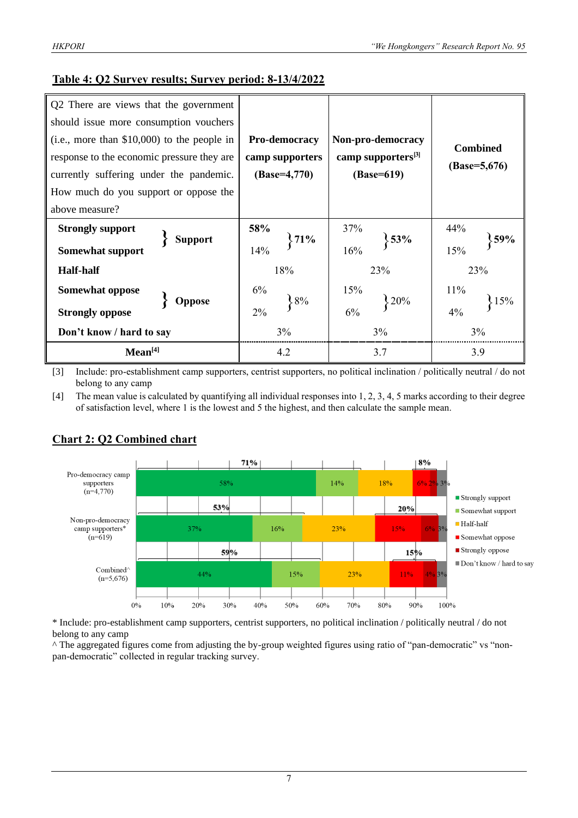#### **Table 4: Q2 Survey results; Survey period: 8-13/4/2022**

| Q2 There are views that the government<br>should issue more consumption vouchers<br>$(i.e., more than $10,000)$ to the people in<br>response to the economic pressure they are<br>currently suffering under the pandemic.<br>How much do you support or oppose the | Pro-democracy<br>camp supporters<br>$(Base=4,770)$ | Non-pro-democracy<br>camp supporters <sup>[3]</sup><br>(Base=619) | <b>Combined</b><br>$(Base=5,676)$ |  |  |
|--------------------------------------------------------------------------------------------------------------------------------------------------------------------------------------------------------------------------------------------------------------------|----------------------------------------------------|-------------------------------------------------------------------|-----------------------------------|--|--|
| above measure?                                                                                                                                                                                                                                                     |                                                    |                                                                   |                                   |  |  |
| <b>Strongly support</b><br><b>Support</b>                                                                                                                                                                                                                          | 58%<br>71%                                         | 37%<br>53%                                                        | 44%<br>59%                        |  |  |
| <b>Somewhat support</b>                                                                                                                                                                                                                                            | 14%                                                | 16%                                                               | 15%                               |  |  |
| <b>Half-half</b>                                                                                                                                                                                                                                                   | 18%                                                | 23%                                                               | 23%                               |  |  |
| Somewhat oppose                                                                                                                                                                                                                                                    | 6%                                                 | 15%                                                               | 11%                               |  |  |
| Oppose<br><b>Strongly oppose</b>                                                                                                                                                                                                                                   | 8%<br>2%                                           | 20%<br>6%                                                         | 15%<br>4%                         |  |  |
| Don't know / hard to say                                                                                                                                                                                                                                           | 3%                                                 | 3%                                                                | 3%                                |  |  |
| Mean <sup>[4]</sup>                                                                                                                                                                                                                                                | 4.2                                                | 3.7                                                               | 3.9                               |  |  |

[3] Include: pro-establishment camp supporters, centrist supporters, no political inclination / politically neutral / do not belong to any camp

[4] The mean value is calculated by quantifying all individual responses into 1, 2, 3, 4, 5 marks according to their degree of satisfaction level, where 1 is the lowest and 5 the highest, and then calculate the sample mean.



#### **Chart 2: Q2 Combined chart**

\* Include: pro-establishment camp supporters, centrist supporters, no political inclination / politically neutral / do not belong to any camp

^ The aggregated figures come from adjusting the by-group weighted figures using ratio of "pan-democratic" vs "nonpan-democratic" collected in regular tracking survey.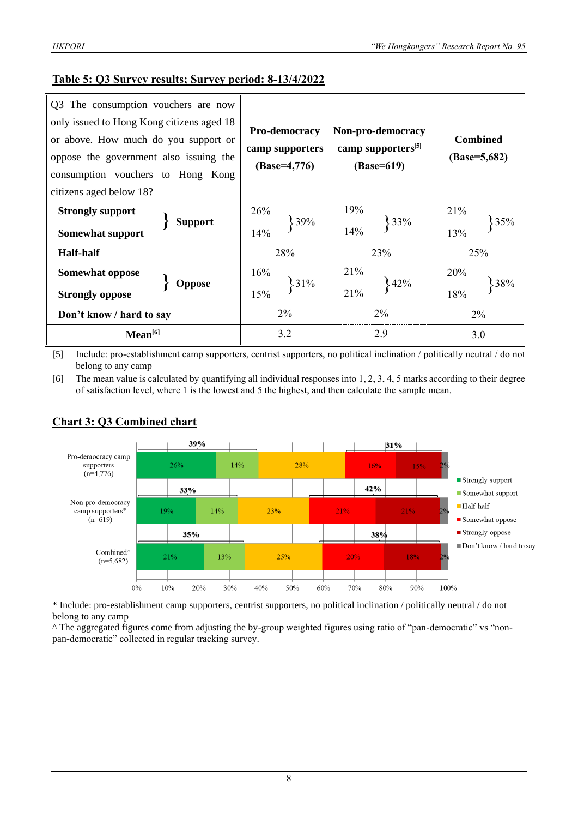#### **Table 5: Q3 Survey results; Survey period: 8-13/4/2022**

| Q3 The consumption vouchers are now<br>only issued to Hong Kong citizens aged 18<br>or above. How much do you support or<br>oppose the government also issuing the<br>consumption vouchers to Hong Kong<br>citizens aged below 18? | Pro-democracy<br>camp supporters<br>$(Base=4,776)$ | Non-pro-democracy<br>camp supporters <sup>[5]</sup><br>(Base=619) | <b>Combined</b><br>$(Base=5,682)$ |  |  |
|------------------------------------------------------------------------------------------------------------------------------------------------------------------------------------------------------------------------------------|----------------------------------------------------|-------------------------------------------------------------------|-----------------------------------|--|--|
| <b>Strongly support</b><br><b>Support</b><br><b>Somewhat support</b>                                                                                                                                                               | 26%<br>39%<br>14%                                  | 19%<br>33%<br>14%                                                 | 21%<br>35%<br>13%                 |  |  |
| <b>Half-half</b>                                                                                                                                                                                                                   | 28%                                                | 23%                                                               | 25%                               |  |  |
| Somewhat oppose                                                                                                                                                                                                                    | 16%                                                | 21%<br>342%                                                       | 20%                               |  |  |
| <b>Oppose</b><br><b>Strongly oppose</b>                                                                                                                                                                                            | 31%<br>15%                                         | 21%                                                               | 38%<br>18%                        |  |  |
| Don't know / hard to say                                                                                                                                                                                                           | $2\%$                                              | $2\%$                                                             | $2\%$                             |  |  |
| Mean <sup>[6]</sup>                                                                                                                                                                                                                | 3.2                                                | 2.9                                                               | 3.0                               |  |  |

[5] Include: pro-establishment camp supporters, centrist supporters, no political inclination / politically neutral / do not belong to any camp

[6] The mean value is calculated by quantifying all individual responses into 1, 2, 3, 4, 5 marks according to their degree of satisfaction level, where 1 is the lowest and 5 the highest, and then calculate the sample mean.



#### **Chart 3: Q3 Combined chart**

\* Include: pro-establishment camp supporters, centrist supporters, no political inclination / politically neutral / do not belong to any camp

^ The aggregated figures come from adjusting the by-group weighted figures using ratio of "pan-democratic" vs "nonpan-democratic" collected in regular tracking survey.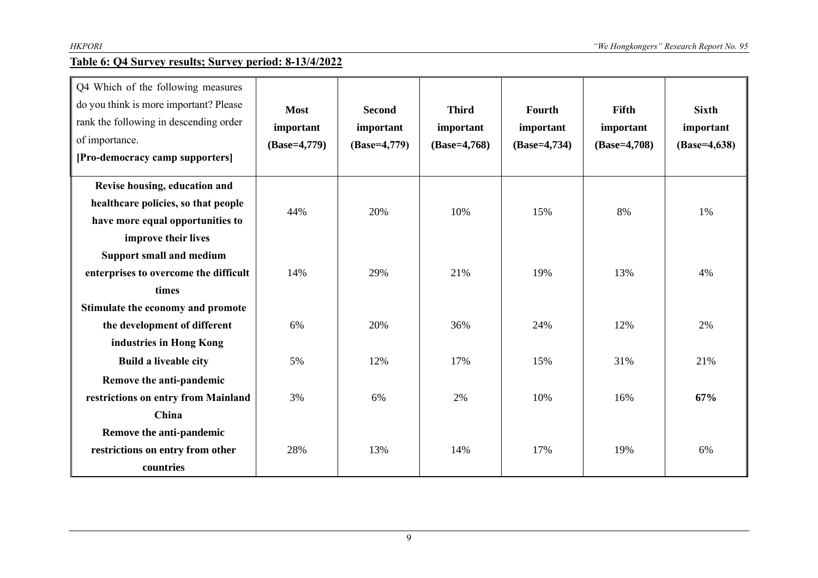#### **Table 6: Q4 Survey results; Survey period: 8-13/4/2022**

| Q4 Which of the following measures<br>do you think is more important? Please<br>rank the following in descending order<br>of importance.<br>[Pro-democracy camp supporters] | <b>Most</b><br>important<br>$(Base=4,779)$ | <b>Second</b><br>important<br>$(Base=4,779)$ | <b>Third</b><br>important<br>$(Base=4,768)$ | Fourth<br>important<br>$(Base=4,734)$ | Fifth<br>important<br>(Base=4,708) | <b>Sixth</b><br>important<br>$(Base=4, 638)$ |
|-----------------------------------------------------------------------------------------------------------------------------------------------------------------------------|--------------------------------------------|----------------------------------------------|---------------------------------------------|---------------------------------------|------------------------------------|----------------------------------------------|
| Revise housing, education and<br>healthcare policies, so that people<br>have more equal opportunities to<br>improve their lives                                             | 44%                                        | 20%                                          | 10%                                         | 15%                                   | 8%                                 | 1%                                           |
| <b>Support small and medium</b><br>enterprises to overcome the difficult<br>times<br>Stimulate the economy and promote                                                      | 14%                                        | 29%                                          | 21%                                         | 19%                                   | 13%                                | 4%                                           |
| the development of different<br>industries in Hong Kong                                                                                                                     | 6%                                         | 20%                                          | 36%                                         | 24%                                   | 12%                                | 2%                                           |
| <b>Build a liveable city</b><br>Remove the anti-pandemic<br>restrictions on entry from Mainland                                                                             | 5%<br>3%                                   | 12%<br>6%                                    | 17%<br>2%                                   | 15%<br>10%                            | 31%<br>16%                         | 21%<br>67%                                   |
| China<br>Remove the anti-pandemic<br>restrictions on entry from other<br>countries                                                                                          | 28%                                        | 13%                                          | 14%                                         | 17%                                   | 19%                                | 6%                                           |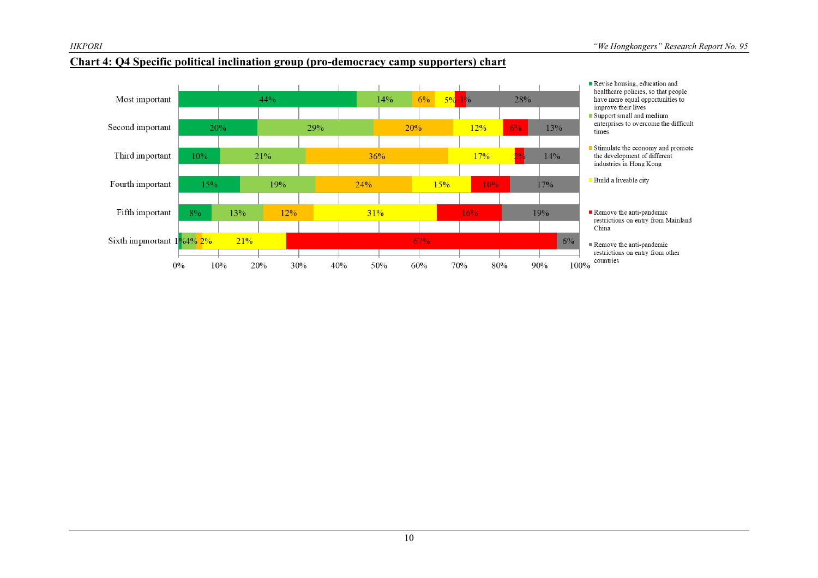

#### Revise housing, education and healthcare policies, so that people Most important  $44%$  $14%$  $6\%$  $5\%3\%$ 28% have more equal opportunities to improve their lives Support small and medium enterprises to overcome the difficult 12% Second important 20% 29% 20%  $6%$ 13% times Stimulate the economy and promote Third important  $10%$ 21%  $36%$ 17%  $14%$ the development of different industries in Hong Kong Build a liveable city  $24%$  $15%$ Fourth important 15% 19% 17% 10% Fifth important  $12%$  $31%$ 19% Remove the anti-pandemic<br>restrictions on entry from Mainland  $8%$ 13%  $16%$ China Sixth impmortant  $1\frac{9}{6}4\frac{9}{2}\frac{2\%}{6}$ 21%  $67%$  $6\%$ Remove the anti-pandemic restrictions on entry from other ┱  $\overline{\phantom{0}}$  $\mathbf{L}$ countries  $0\%$  $10%$ 40% 50%  $60%$ 70% 90% 100% 20% 30% 80%

#### **Chart 4: Q4 Specific political inclination group (pro-democracy camp supporters) chart**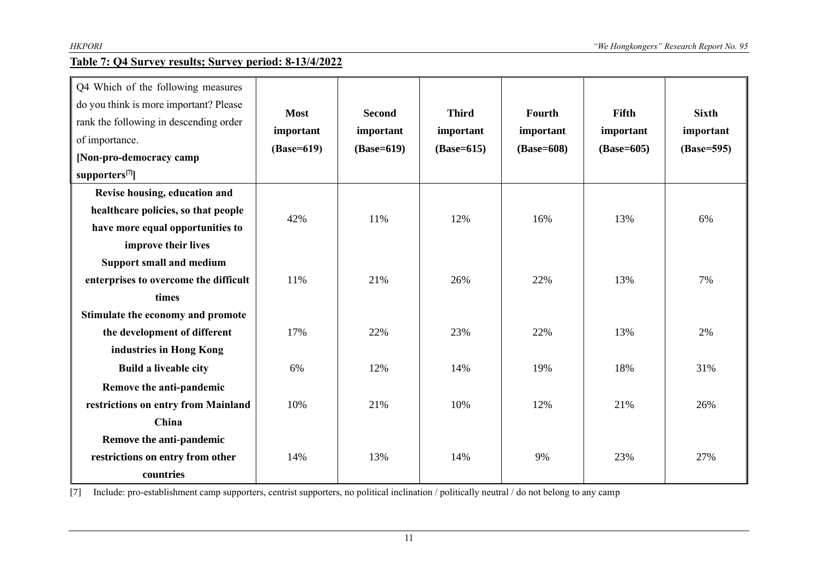#### **Table 7: Q4 Survey results; Survey period: 8-13/4/2022**

| Q4 Which of the following measures<br>do you think is more important? Please<br>rank the following in descending order<br>of importance.<br>[Non-pro-democracy camp<br>supporters <sup>[7]</sup> ] | <b>Most</b><br>important<br>$(Base=619)$ | <b>Second</b><br>important<br>$(Base=619)$ | <b>Third</b><br>important<br>$(Base=615)$ | Fourth<br>important<br>(Base=608) | Fifth<br>important<br>$(Base=605)$ | <b>Sixth</b><br>important<br>(Base=595) |
|----------------------------------------------------------------------------------------------------------------------------------------------------------------------------------------------------|------------------------------------------|--------------------------------------------|-------------------------------------------|-----------------------------------|------------------------------------|-----------------------------------------|
| Revise housing, education and<br>healthcare policies, so that people<br>have more equal opportunities to<br>improve their lives                                                                    | 42%                                      | 11%                                        | 12%                                       | 16%                               | 13%                                | 6%                                      |
| Support small and medium<br>enterprises to overcome the difficult<br>times<br>Stimulate the economy and promote                                                                                    | 11%                                      | 21%                                        | 26%                                       | 22%                               | 13%                                | 7%                                      |
| the development of different<br>industries in Hong Kong                                                                                                                                            | 17%                                      | 22%                                        | 23%                                       | 22%                               | 13%                                | 2%                                      |
| <b>Build a liveable city</b><br>Remove the anti-pandemic                                                                                                                                           | 6%                                       | 12%                                        | 14%                                       | 19%                               | 18%                                | 31%                                     |
| restrictions on entry from Mainland<br>China                                                                                                                                                       | 10%                                      | 21%                                        | 10%                                       | 12%                               | 21%                                | 26%                                     |
| Remove the anti-pandemic<br>restrictions on entry from other<br>countries                                                                                                                          | 14%                                      | 13%                                        | 14%                                       | 9%                                | 23%                                | 27%                                     |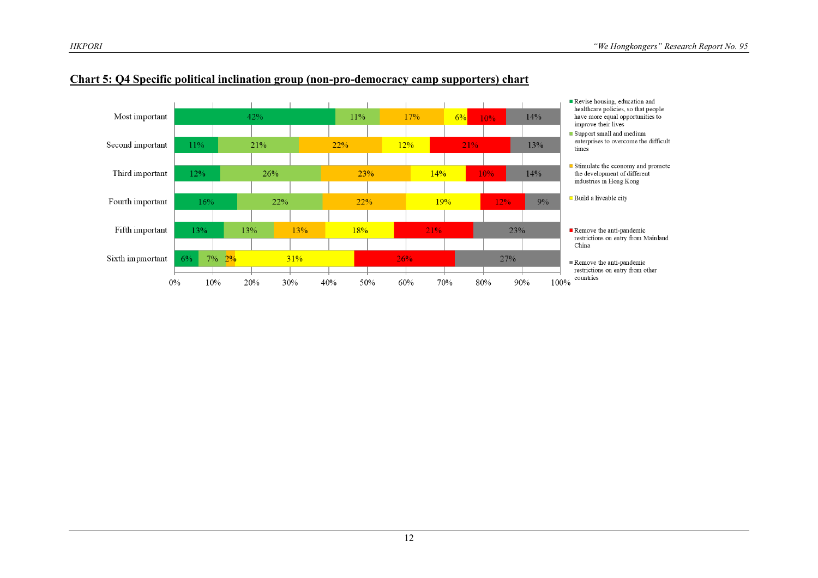

#### **Chart 5: Q4 Specific political inclination group (non-pro-democracy camp supporters) chart**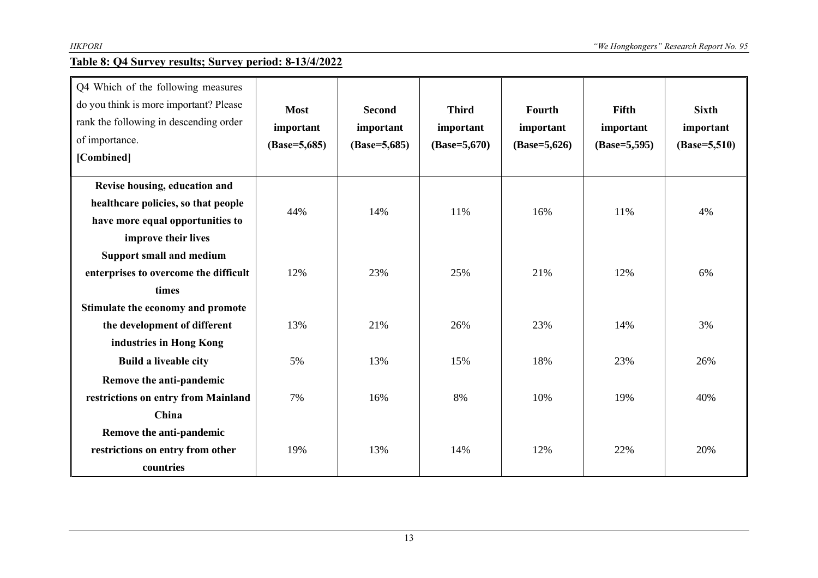#### **Table 8: Q4 Survey results; Survey period: 8-13/4/2022**

| Q4 Which of the following measures<br>do you think is more important? Please<br>rank the following in descending order<br>of importance.<br>[Combined] | <b>Most</b><br>important<br>$(Base=5,685)$ | <b>Second</b><br>important<br>$(Base=5,685)$ | <b>Third</b><br>important<br>$(Base=5,670)$ | Fourth<br>important<br>$(Base=5,626)$ | Fifth<br>important<br>$(Base=5,595)$ | <b>Sixth</b><br>important<br>$(Base=5,510)$ |
|--------------------------------------------------------------------------------------------------------------------------------------------------------|--------------------------------------------|----------------------------------------------|---------------------------------------------|---------------------------------------|--------------------------------------|---------------------------------------------|
| Revise housing, education and<br>healthcare policies, so that people<br>have more equal opportunities to<br>improve their lives                        | 44%                                        | 14%                                          | 11%                                         | 16%                                   | 11%                                  | 4%                                          |
| <b>Support small and medium</b><br>enterprises to overcome the difficult<br>times<br>Stimulate the economy and promote                                 | 12%                                        | 23%                                          | 25%                                         | 21%                                   | 12%                                  | 6%                                          |
| the development of different<br>industries in Hong Kong                                                                                                | 13%                                        | 21%                                          | 26%                                         | 23%                                   | 14%                                  | 3%                                          |
| <b>Build a liveable city</b><br>Remove the anti-pandemic<br>restrictions on entry from Mainland                                                        | 5%<br>7%                                   | 13%<br>16%                                   | 15%<br>8%                                   | 18%<br>10%                            | 23%<br>19%                           | 26%<br>40%                                  |
| China<br>Remove the anti-pandemic<br>restrictions on entry from other<br>countries                                                                     | 19%                                        | 13%                                          | 14%                                         | 12%                                   | 22%                                  | 20%                                         |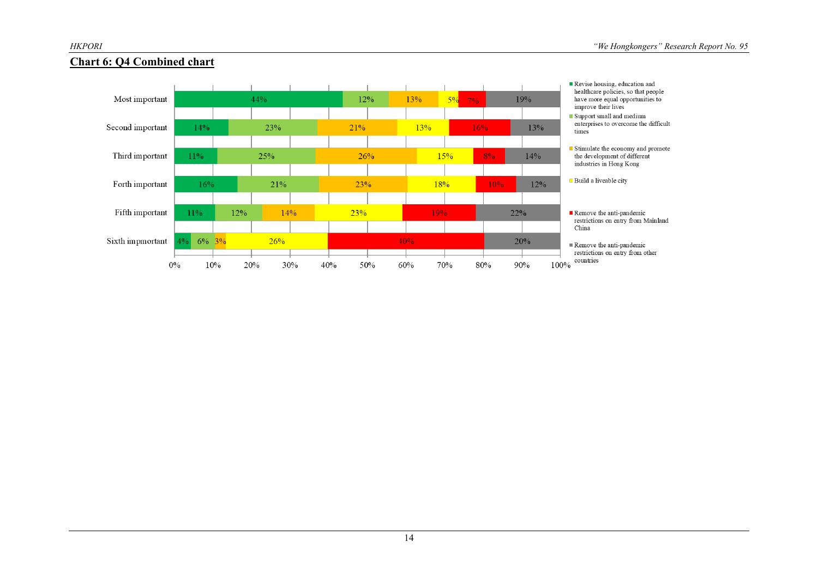

#### **Chart 6: Q4 Combined chart**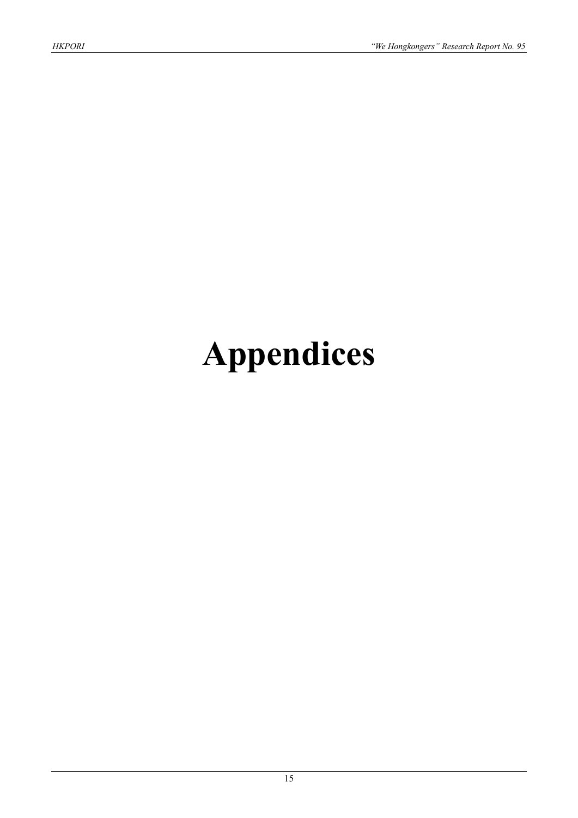# **Appendices**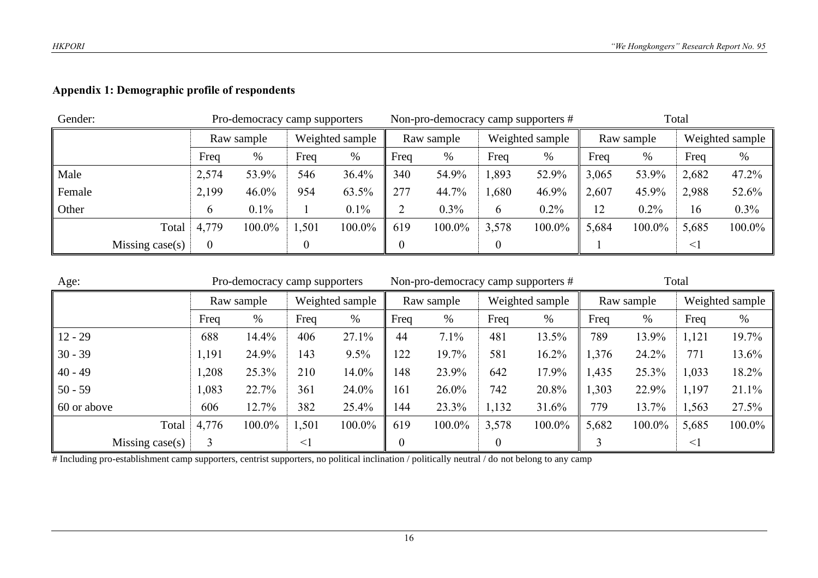#### **Appendix 1: Demographic profile of respondents**

| Gender: |                    |               | Pro-democracy camp supporters |      |                 |                | Non-pro-democracy camp supporters # |       |                 | Total |            |        |                 |
|---------|--------------------|---------------|-------------------------------|------|-----------------|----------------|-------------------------------------|-------|-----------------|-------|------------|--------|-----------------|
|         |                    | Raw sample    |                               |      | Weighted sample |                | Raw sample                          |       | Weighted sample |       | Raw sample |        | Weighted sample |
|         |                    | Freq          | %                             | Freq | $\%$            | Freq           | %                                   | Freq  | $\%$            | Freq  | $\%$       | Freq   | %               |
| Male    |                    | 2,574         | 53.9%                         | 546  | 36.4%           | 340            | 54.9%                               | 1,893 | 52.9%           | 3,065 | 53.9%      | 2,682  | 47.2%           |
| Female  |                    | 2,199         | $46.0\%$                      | 954  | 63.5%           | 277            | 44.7%                               | ,680  | 46.9%           | 2,607 | 45.9%      | 2,988  | 52.6%           |
| Other   |                    | $\mathfrak b$ | $0.1\%$                       |      | 0.1%            | $\overline{2}$ | 0.3%                                | 6     | 0.2%            | 12    | 0.2%       | 16     | $0.3\%$         |
|         | Total              | 4,779         | 100.0%                        | ,501 | 100.0%          | 619            | 100.0%                              | 3,578 | 100.0%          | 5,684 | 100.0%     | 5,685  | 100.0%          |
|         | Missing case $(s)$ | $\theta$      |                               |      |                 | 0              |                                     |       |                 |       |            | $\leq$ |                 |

| Age:                    | Pro-democracy camp supporters |            |          |                 |                  | Non-pro-democracy camp supporters # |                  |                 | Total |            |          |                 |  |
|-------------------------|-------------------------------|------------|----------|-----------------|------------------|-------------------------------------|------------------|-----------------|-------|------------|----------|-----------------|--|
|                         |                               | Raw sample |          | Weighted sample |                  | Raw sample                          |                  | Weighted sample |       | Raw sample |          | Weighted sample |  |
|                         | Freq                          | %          | Freq     | %               | Freq             | %                                   | Freq             | %               | Freq  | %          | Freq     | %               |  |
| $12 - 29$               | 688                           | 14.4%      | 406      | 27.1%           | 44               | 7.1%                                | 481              | 13.5%           | 789   | 13.9%      | 1,121    | 19.7%           |  |
| $30 - 39$               | 1,191                         | 24.9%      | 143      | 9.5%            | 122              | 19.7%                               | 581              | 16.2%           | 1,376 | 24.2%      | 771      | 13.6%           |  |
| $40 - 49$               | 1,208                         | 25.3%      | 210      | 14.0%           | 148              | 23.9%                               | 642              | 17.9%           | 1,435 | 25.3%      | 1,033    | 18.2%           |  |
| $50 - 59$               | 1,083                         | 22.7%      | 361      | 24.0%           | 161              | 26.0%                               | 742              | 20.8%           | 1,303 | 22.9%      | 1,197    | 21.1%           |  |
| 60 or above             | 606                           | 12.7%      | 382      | 25.4%           | 144              | 23.3%                               | 1,132            | 31.6%           | 779   | 13.7%      | 1,563    | 27.5%           |  |
| Total                   | 4,776                         | 100.0%     | 1,501    | 100.0%          | 619              | 100.0%                              | 3,578            | 100.0%          | 5,682 | 100.0%     | 5,685    | 100.0%          |  |
| Missing case $(s)$<br>3 |                               |            | $\leq$ 1 |                 | $\boldsymbol{0}$ |                                     | $\boldsymbol{0}$ |                 |       |            | $\leq$ ] |                 |  |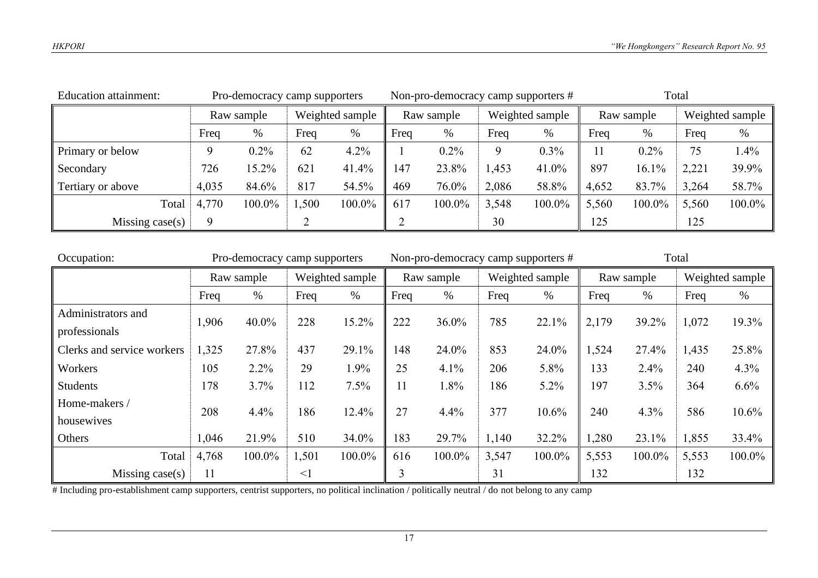| <b>Education attainment:</b><br>Pro-democracy camp supporters |            |         |                 |        |      |            |       | Non-pro-democracy camp supporters # | Total |            |       |                 |  |
|---------------------------------------------------------------|------------|---------|-----------------|--------|------|------------|-------|-------------------------------------|-------|------------|-------|-----------------|--|
|                                                               | Raw sample |         | Weighted sample |        |      | Raw sample |       | Weighted sample                     |       | Raw sample |       | Weighted sample |  |
|                                                               | Freq       | %       | Freq            | $\%$   | Freq | %          | Freq  | %                                   | Freq  | $\%$       | Freq  | %               |  |
| Primary or below                                              |            | $0.2\%$ | 62              | 4.2%   |      | $0.2\%$    | 9     | 0.3%                                | 11    | 0.2%       | 75    | 1.4%            |  |
| Secondary                                                     | 726        | 15.2%   | 621             | 41.4%  | 147  | 23.8%      | 1,453 | 41.0%                               | 897   | 16.1%      | 2,221 | 39.9%           |  |
| Tertiary or above                                             | 4,035      | 84.6%   | 817             | 54.5%  | 469  | 76.0%      | 2,086 | 58.8%                               | 4,652 | 83.7%      | 3,264 | 58.7%           |  |
| Total                                                         | 4,770      | 100.0%  | 1,500           | 100.0% | 617  | 100.0%     | 3,548 | 100.0%                              | 5,560 | 100.0%     | 5,560 | 100.0%          |  |
| Missing case $(s)$                                            | 9          |         |                 |        |      |            | 30    |                                     | 125   |            | 125   |                 |  |

| Occupation:                | Pro-democracy camp supporters |            |          |                 |            | Non-pro-democracy camp supporters # |                 |        | Total      |        |                 |        |
|----------------------------|-------------------------------|------------|----------|-----------------|------------|-------------------------------------|-----------------|--------|------------|--------|-----------------|--------|
|                            |                               | Raw sample |          | Weighted sample | Raw sample |                                     | Weighted sample |        | Raw sample |        | Weighted sample |        |
|                            | Freq                          | $\%$       | Freq     | $\%$            | Freq       | $\%$                                | Freq            | %      | Freq       | $\%$   | Freq            | %      |
| Administrators and         | 1,906                         | 40.0%      | 228      | 15.2%           | 222        | 36.0%                               | 785             | 22.1%  | 2,179      | 39.2%  | 1,072           | 19.3%  |
| professionals              |                               |            |          |                 |            |                                     |                 |        |            |        |                 |        |
| Clerks and service workers | 1,325                         | 27.8%      | 437      | 29.1%           | 148        | 24.0%                               | 853             | 24.0%  | 1,524      | 27.4%  | 1,435           | 25.8%  |
| Workers                    | 105                           | 2.2%       | 29       | 1.9%            | 25         | 4.1%                                | 206             | 5.8%   | 133        | 2.4%   | 240             | 4.3%   |
| <b>Students</b>            | 178                           | 3.7%       | 112      | 7.5%            | 11         | 1.8%                                | 186             | 5.2%   | 197        | 3.5%   | 364             | 6.6%   |
| Home-makers /              | 208                           | 4.4%       | 186      | 12.4%           | 27         | 4.4%                                | 377             | 10.6%  | 240        | 4.3%   | 586             | 10.6%  |
| housewives                 |                               |            |          |                 |            |                                     |                 |        |            |        |                 |        |
| Others                     | 1,046                         | 21.9%      | 510      | 34.0%           | 183        | 29.7%                               | 1,140           | 32.2%  | 1,280      | 23.1%  | 1,855           | 33.4%  |
| Total                      | 4,768                         | 100.0%     | 1,501    | 100.0%          | 616        | 100.0%                              | 3,547           | 100.0% | 5,553      | 100.0% | 5,553           | 100.0% |
| Missing $case(s)$          | 11                            |            | $\leq$ 1 |                 | 3          |                                     | 31              |        | 132        |        | 132             |        |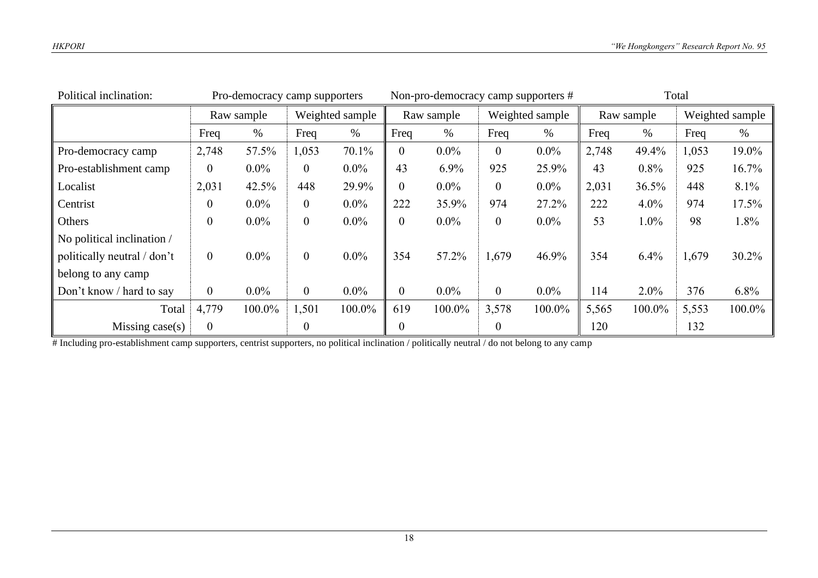| Political inclination:      | Pro-democracy camp supporters |            | Non-pro-democracy camp supporters # |                 |                  | Total      |                  |                 |       |            |       |                 |
|-----------------------------|-------------------------------|------------|-------------------------------------|-----------------|------------------|------------|------------------|-----------------|-------|------------|-------|-----------------|
|                             |                               | Raw sample |                                     | Weighted sample |                  | Raw sample |                  | Weighted sample |       | Raw sample |       | Weighted sample |
|                             | Freq                          | $\%$       | Freq                                | $\%$            | Freq             | %          | Freq             | $\%$            | Freq  | $\%$       | Freq  | $\%$            |
| Pro-democracy camp          | 2,748                         | 57.5%      | 1,053                               | 70.1%           | $\overline{0}$   | $0.0\%$    | $\boldsymbol{0}$ | $0.0\%$         | 2,748 | 49.4%      | 1,053 | 19.0%           |
| Pro-establishment camp      | $\overline{0}$                | $0.0\%$    | $\overline{0}$                      | $0.0\%$         | 43               | 6.9%       | 925              | 25.9%           | 43    | $0.8\%$    | 925   | 16.7%           |
| Localist                    | 2,031                         | 42.5%      | 448                                 | 29.9%           | $\overline{0}$   | $0.0\%$    | $\boldsymbol{0}$ | $0.0\%$         | 2,031 | 36.5%      | 448   | 8.1%            |
| Centrist                    | $\overline{0}$                | $0.0\%$    | $\overline{0}$                      | $0.0\%$         | 222              | 35.9%      | 974              | 27.2%           | 222   | $4.0\%$    | 974   | 17.5%           |
| Others                      | $\overline{0}$                | $0.0\%$    | $\overline{0}$                      | $0.0\%$         | $\boldsymbol{0}$ | $0.0\%$    | $\boldsymbol{0}$ | $0.0\%$         | 53    | $1.0\%$    | 98    | 1.8%            |
| No political inclination /  |                               |            |                                     |                 |                  |            |                  |                 |       |            |       |                 |
| politically neutral / don't | $\overline{0}$                | $0.0\%$    | $\overline{0}$                      | $0.0\%$         | 354              | 57.2%      | 1,679            | 46.9%           | 354   | 6.4%       | 1,679 | 30.2%           |
| belong to any camp          |                               |            |                                     |                 |                  |            |                  |                 |       |            |       |                 |
| Don't know / hard to say    | $\overline{0}$                | $0.0\%$    | $\overline{0}$                      | $0.0\%$         | $\overline{0}$   | $0.0\%$    | $\overline{0}$   | $0.0\%$         | 114   | $2.0\%$    | 376   | 6.8%            |
| Total                       | 4,779                         | 100.0%     | 1,501                               | 100.0%          | 619              | 100.0%     | 3,578            | 100.0%          | 5,565 | 100.0%     | 5,553 | 100.0%          |
| Missing $case(s)$           | $\overline{0}$                |            | $\boldsymbol{0}$                    |                 | $\boldsymbol{0}$ |            | $\boldsymbol{0}$ |                 | 120   |            | 132   |                 |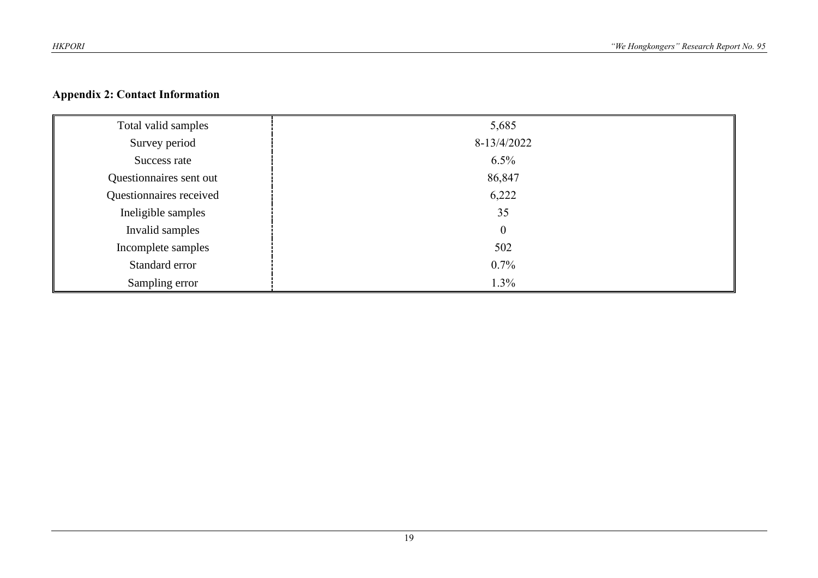#### **Appendix 2: Contact Information**

| Total valid samples     | 5,685            |
|-------------------------|------------------|
| Survey period           | 8-13/4/2022      |
| Success rate            | $6.5\%$          |
| Questionnaires sent out | 86,847           |
| Questionnaires received | 6,222            |
| Ineligible samples      | 35               |
| Invalid samples         | $\boldsymbol{0}$ |
| Incomplete samples      | 502              |
| Standard error          | $0.7\%$          |
| Sampling error          | 1.3%             |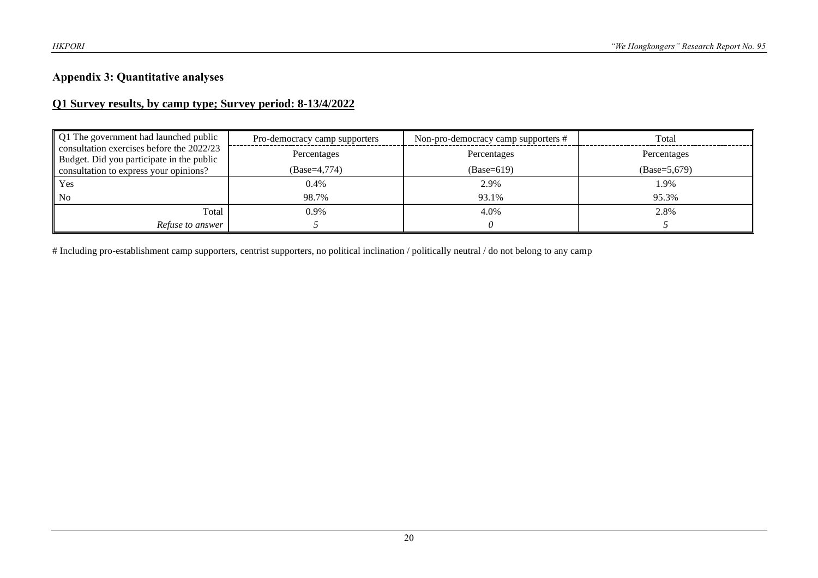#### **Appendix 3: Quantitative analyses**

#### **Q1 Survey results, by camp type; Survey period: 8-13/4/2022**

| Q1 The government had launched public<br>consultation exercises before the 2022/23<br>Budget. Did you participate in the public | Pro-democracy camp supporters | Non-pro-democracy camp supporters # | Total          |
|---------------------------------------------------------------------------------------------------------------------------------|-------------------------------|-------------------------------------|----------------|
|                                                                                                                                 | Percentages                   | Percentages                         | Percentages    |
| consultation to express your opinions?                                                                                          | (Base=4,774)                  | $(Base=619)$                        | $(Base=5,679)$ |
| Yes                                                                                                                             | 0.4%                          | 2.9%                                | l.9%           |
| N <sub>o</sub>                                                                                                                  | 98.7%                         | 93.1%                               | 95.3%          |
| Total                                                                                                                           | 0.9%                          | 4.0%                                | 2.8%           |
| Refuse to answer                                                                                                                |                               |                                     |                |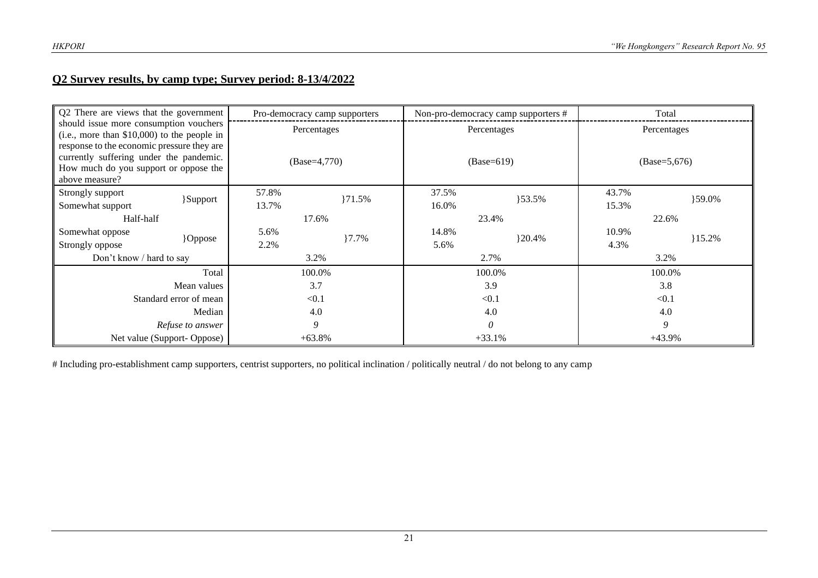#### **Q2 Survey results, by camp type; Survey period: 8-13/4/2022**

| Q2 There are views that the government<br>should issue more consumption vouchers<br>$(i.e., more than $10,000)$ to the people in                 |                        |             | Pro-democracy camp supporters | Non-pro-democracy camp supporters # |              | Total    |                |
|--------------------------------------------------------------------------------------------------------------------------------------------------|------------------------|-------------|-------------------------------|-------------------------------------|--------------|----------|----------------|
|                                                                                                                                                  |                        | Percentages |                               |                                     | Percentages  |          | Percentages    |
| response to the economic pressure they are<br>currently suffering under the pandemic.<br>How much do you support or oppose the<br>above measure? |                        |             | $(Base=4,770)$                |                                     | $(Base=619)$ |          | $(Base=5,676)$ |
| Strongly support                                                                                                                                 | <b>Support</b>         | 57.8%       | $\{71.5\%$                    | 37.5%                               | $\{53.5\%$   | 43.7%    | }59.0%         |
| Somewhat support                                                                                                                                 |                        | 13.7%       |                               | 16.0%                               |              | 15.3%    |                |
| Half-half                                                                                                                                        |                        |             | 17.6%                         |                                     | 23.4%        | 22.6%    |                |
| Somewhat oppose                                                                                                                                  | <b>Oppose</b>          | 5.6%        | $7.7\%$                       | 14.8%                               | $\{20.4\%$   | 10.9%    | 15.2%          |
| Strongly oppose                                                                                                                                  |                        | 2.2%        |                               | 5.6%                                |              | 4.3%     |                |
| Don't know / hard to say                                                                                                                         |                        |             | 3.2%                          |                                     | 2.7%         |          | 3.2%           |
|                                                                                                                                                  | Total                  |             | 100.0%                        |                                     | 100.0%       | 100.0%   |                |
|                                                                                                                                                  | Mean values            |             | 3.7                           |                                     | 3.9          |          | 3.8            |
|                                                                                                                                                  | Standard error of mean |             | < 0.1                         |                                     | < 0.1        | < 0.1    |                |
|                                                                                                                                                  | Median                 |             | 4.0                           |                                     | 4.0          | 4.0      |                |
|                                                                                                                                                  | Refuse to answer       |             | 9                             |                                     | $\theta$     |          | 9              |
| Net value (Support-Oppose)                                                                                                                       |                        |             | $+63.8\%$                     |                                     | $+33.1%$     | $+43.9%$ |                |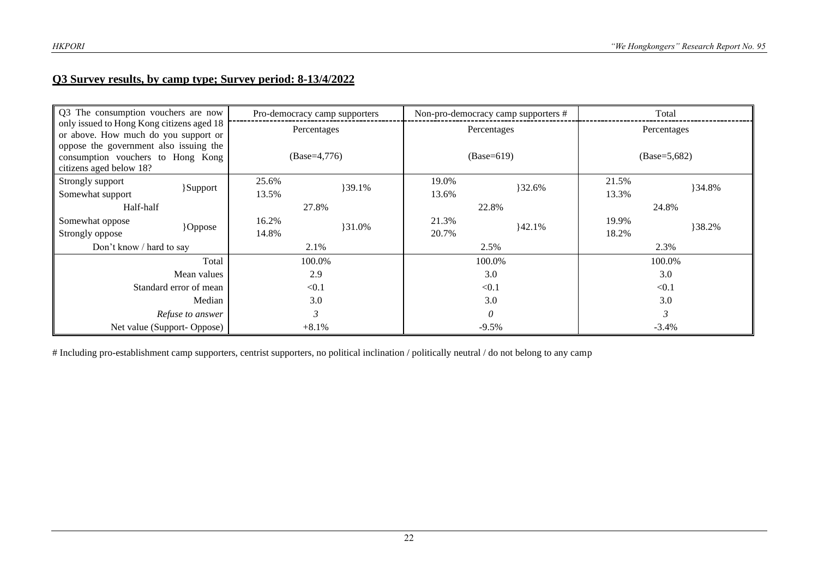#### **Q3 Survey results, by camp type; Survey period: 8-13/4/2022**

| Q3 The consumption vouchers are now                                                                    |       | Pro-democracy camp supporters |       | Non-pro-democracy camp supporters # |       | Total          |  |
|--------------------------------------------------------------------------------------------------------|-------|-------------------------------|-------|-------------------------------------|-------|----------------|--|
| only issued to Hong Kong citizens aged 18<br>or above. How much do you support or                      |       | Percentages                   |       | Percentages                         |       | Percentages    |  |
| oppose the government also issuing the<br>consumption vouchers to Hong Kong<br>citizens aged below 18? |       | $(Base=4,776)$                |       | $(Base=619)$                        |       | $(Base=5,682)$ |  |
| Strongly support                                                                                       | 25.6% | 39.1%                         | 19.0% | }32.6%                              | 21.5% | }34.8%         |  |
| }Support<br>Somewhat support                                                                           | 13.5% |                               | 13.6% |                                     | 13.3% |                |  |
| Half-half                                                                                              |       | 27.8%                         |       | 22.8%                               |       | 24.8%          |  |
| Somewhat oppose                                                                                        | 16.2% | 31.0%                         | 21.3% | 42.1%                               | 19.9% | 38.2%          |  |
| Oppose<br>Strongly oppose                                                                              | 14.8% |                               | 20.7% |                                     | 18.2% |                |  |
| Don't know / hard to say                                                                               |       | 2.1%                          |       | 2.5%                                |       | 2.3%           |  |
| Total                                                                                                  |       | 100.0%                        |       | 100.0%                              |       | 100.0%         |  |
| Mean values                                                                                            |       | 2.9                           |       | 3.0                                 |       | 3.0            |  |
| Standard error of mean                                                                                 |       | < 0.1                         |       | < 0.1                               |       | < 0.1          |  |
| Median                                                                                                 |       | 3.0                           |       | 3.0                                 |       | 3.0            |  |
| Refuse to answer                                                                                       |       | $\mathfrak{Z}$                | 0     |                                     |       |                |  |
| Net value (Support-Oppose)                                                                             |       | $+8.1%$                       |       | $-9.5\%$                            |       | $-3.4\%$       |  |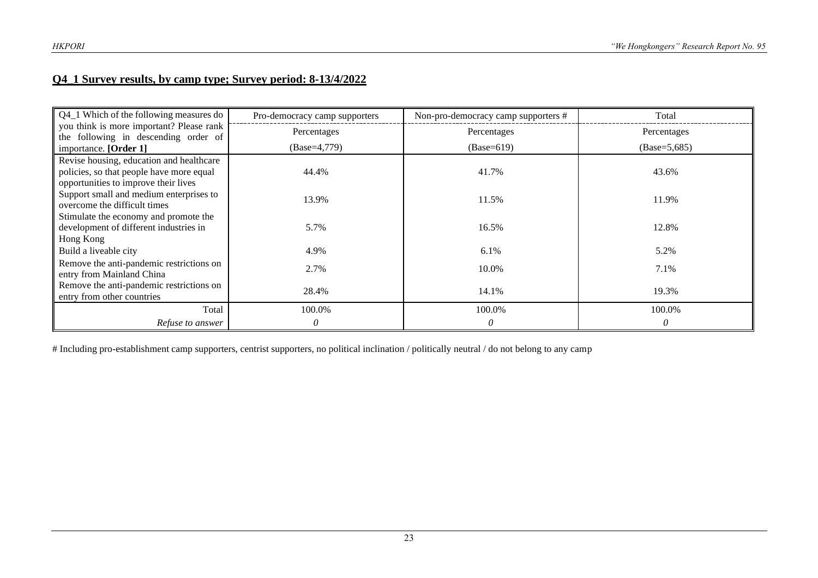#### **Q4\_1 Survey results, by camp type; Survey period: 8-13/4/2022**

| Q4_1 Which of the following measures do                                          | Pro-democracy camp supporters | Non-pro-democracy camp supporters # | Total          |
|----------------------------------------------------------------------------------|-------------------------------|-------------------------------------|----------------|
| you think is more important? Please rank<br>the following in descending order of | Percentages                   | Percentages                         | Percentages    |
| importance. [Order 1]                                                            | $(Base=4,779)$                | $(Base=619)$                        | $(Base=5,685)$ |
| Revise housing, education and healthcare                                         |                               |                                     |                |
| policies, so that people have more equal                                         | 44.4%                         | 41.7%                               | 43.6%          |
| opportunities to improve their lives                                             |                               |                                     |                |
| Support small and medium enterprises to                                          | 13.9%                         | 11.5%                               | 11.9%          |
| overcome the difficult times                                                     |                               |                                     |                |
| Stimulate the economy and promote the                                            |                               |                                     |                |
| development of different industries in                                           | 5.7%                          | 16.5%                               | 12.8%          |
| Hong Kong                                                                        |                               |                                     |                |
| Build a liveable city                                                            | 4.9%                          | 6.1%                                | 5.2%           |
| Remove the anti-pandemic restrictions on                                         | 2.7%                          | 10.0%                               | 7.1%           |
| entry from Mainland China                                                        |                               |                                     |                |
| Remove the anti-pandemic restrictions on                                         | 28.4%                         | 14.1%                               | 19.3%          |
| entry from other countries                                                       |                               |                                     |                |
| Total                                                                            | 100.0%                        | 100.0%                              | 100.0%         |
| Refuse to answer                                                                 | 0                             | $\theta$                            | 0              |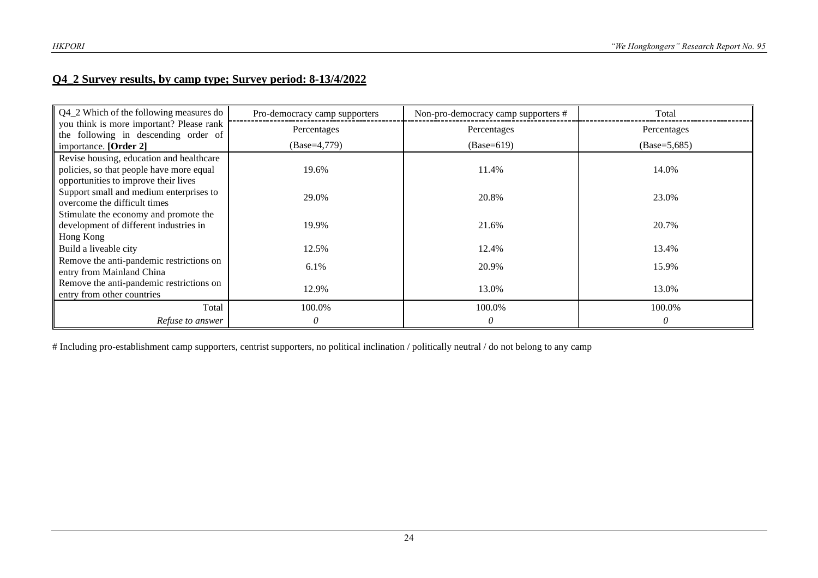#### **Q4\_2 Survey results, by camp type; Survey period: 8-13/4/2022**

| Q4_2 Which of the following measures do                                          | Pro-democracy camp supporters | Non-pro-democracy camp supporters # | Total          |
|----------------------------------------------------------------------------------|-------------------------------|-------------------------------------|----------------|
| you think is more important? Please rank<br>the following in descending order of | Percentages                   | Percentages                         | Percentages    |
| importance. [Order 2]                                                            | $(Base=4,779)$                | $(Base=619)$                        | $(Base=5,685)$ |
| Revise housing, education and healthcare                                         |                               |                                     |                |
| policies, so that people have more equal                                         | 19.6%                         | 11.4%                               | 14.0%          |
| opportunities to improve their lives                                             |                               |                                     |                |
| Support small and medium enterprises to<br>overcome the difficult times          | 29.0%                         | 20.8%                               | 23.0%          |
| Stimulate the economy and promote the                                            |                               |                                     |                |
| development of different industries in                                           | 19.9%                         | 21.6%                               | 20.7%          |
| Hong Kong                                                                        |                               |                                     |                |
| Build a liveable city                                                            | 12.5%                         | 12.4%                               | 13.4%          |
| Remove the anti-pandemic restrictions on<br>entry from Mainland China            | 6.1%                          | 20.9%                               | 15.9%          |
| Remove the anti-pandemic restrictions on<br>entry from other countries           | 12.9%                         | 13.0%                               | 13.0%          |
| Total                                                                            | 100.0%                        | 100.0%                              | 100.0%         |
| Refuse to answer                                                                 | 0                             | 0                                   | 0              |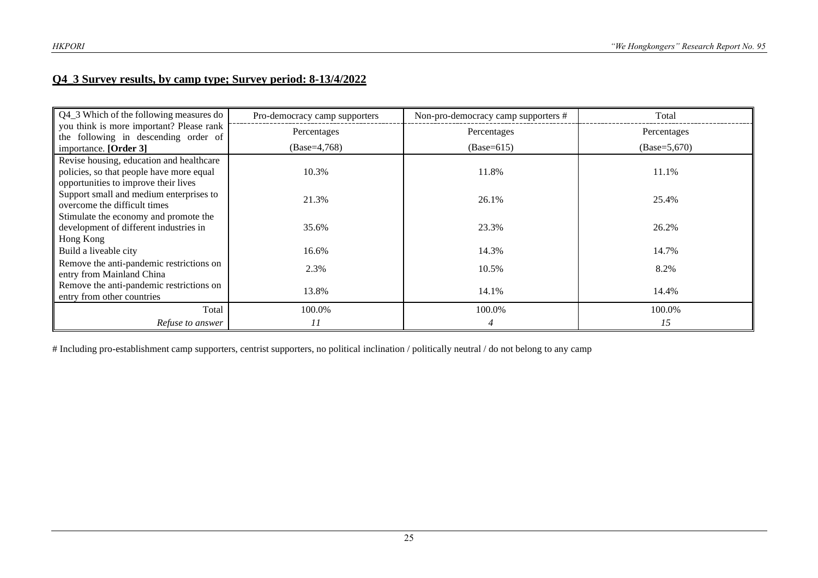#### **Q4\_3 Survey results, by camp type; Survey period: 8-13/4/2022**

| Q4_3 Which of the following measures do                                          | Pro-democracy camp supporters | Non-pro-democracy camp supporters # | Total          |
|----------------------------------------------------------------------------------|-------------------------------|-------------------------------------|----------------|
| you think is more important? Please rank<br>the following in descending order of | Percentages                   | Percentages                         | Percentages    |
| importance. [Order 3]                                                            | $(Base=4,768)$                | $(Base=615)$                        | $(Base=5,670)$ |
| Revise housing, education and healthcare                                         |                               |                                     |                |
| policies, so that people have more equal                                         | 10.3%                         | 11.8%                               | 11.1%          |
| opportunities to improve their lives                                             |                               |                                     |                |
| Support small and medium enterprises to                                          | 21.3%                         | 26.1%                               | 25.4%          |
| overcome the difficult times                                                     |                               |                                     |                |
| Stimulate the economy and promote the                                            |                               |                                     |                |
| development of different industries in                                           | 35.6%                         | 23.3%                               | 26.2%          |
| Hong Kong                                                                        |                               |                                     |                |
| Build a liveable city                                                            | 16.6%                         | 14.3%                               | 14.7%          |
| Remove the anti-pandemic restrictions on<br>entry from Mainland China            | 2.3%                          | 10.5%                               | 8.2%           |
| Remove the anti-pandemic restrictions on                                         | 13.8%                         |                                     |                |
| entry from other countries                                                       |                               | 14.1%                               | 14.4%          |
| Total                                                                            | 100.0%                        | 100.0%                              | 100.0%         |
| Refuse to answer                                                                 | 11                            | 4                                   | 15             |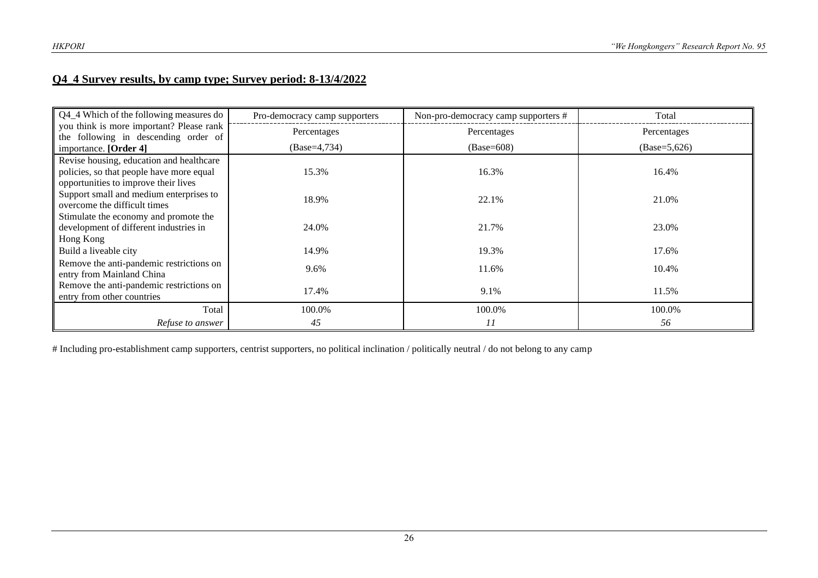#### **Q4\_4 Survey results, by camp type; Survey period: 8-13/4/2022**

| Q4_4 Which of the following measures do                                          | Pro-democracy camp supporters | Non-pro-democracy camp supporters # | Total          |
|----------------------------------------------------------------------------------|-------------------------------|-------------------------------------|----------------|
| you think is more important? Please rank<br>the following in descending order of | Percentages                   | Percentages                         | Percentages    |
| importance. [Order 4]                                                            | $(Base=4,734)$                | $(Base=608)$                        | $(Base=5,626)$ |
| Revise housing, education and healthcare                                         |                               |                                     |                |
| policies, so that people have more equal                                         | 15.3%                         | 16.3%                               | 16.4%          |
| opportunities to improve their lives                                             |                               |                                     |                |
| Support small and medium enterprises to                                          | 18.9%                         | 22.1%                               | 21.0%          |
| overcome the difficult times<br>Stimulate the economy and promote the            |                               |                                     |                |
| development of different industries in                                           | 24.0%                         | 21.7%                               | 23.0%          |
| Hong Kong                                                                        |                               |                                     |                |
| Build a liveable city                                                            | 14.9%                         | 19.3%                               | 17.6%          |
| Remove the anti-pandemic restrictions on<br>entry from Mainland China            | 9.6%                          | 11.6%                               | 10.4%          |
| Remove the anti-pandemic restrictions on<br>entry from other countries           | 17.4%                         | 9.1%                                | 11.5%          |
| Total                                                                            | 100.0%                        | 100.0%                              | 100.0%         |
| Refuse to answer                                                                 | 45                            | 11                                  | 56             |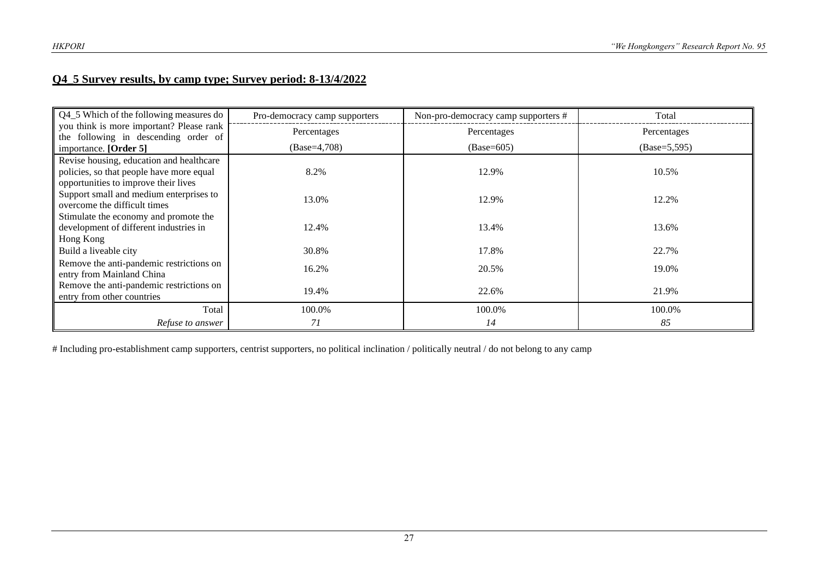#### **Q4\_5 Survey results, by camp type; Survey period: 8-13/4/2022**

| Q4_5 Which of the following measures do                                          | Pro-democracy camp supporters | Non-pro-democracy camp supporters # | Total           |
|----------------------------------------------------------------------------------|-------------------------------|-------------------------------------|-----------------|
| you think is more important? Please rank<br>the following in descending order of | Percentages                   | Percentages                         | Percentages     |
| importance. [Order 5]                                                            | $(Base=4,708)$                | $(Base=605)$                        | $(Base=5, 595)$ |
| Revise housing, education and healthcare                                         |                               |                                     |                 |
| policies, so that people have more equal                                         | 8.2%                          | 12.9%                               | 10.5%           |
| opportunities to improve their lives                                             |                               |                                     |                 |
| Support small and medium enterprises to                                          | 13.0%                         | 12.9%                               | 12.2%           |
| overcome the difficult times                                                     |                               |                                     |                 |
| Stimulate the economy and promote the<br>development of different industries in  | 12.4%                         | 13.4%                               | 13.6%           |
| Hong Kong                                                                        |                               |                                     |                 |
| Build a liveable city                                                            | 30.8%                         | 17.8%                               | 22.7%           |
| Remove the anti-pandemic restrictions on                                         | 16.2%                         | 20.5%                               | 19.0%           |
| entry from Mainland China                                                        |                               |                                     |                 |
| Remove the anti-pandemic restrictions on                                         | 19.4%                         | 22.6%                               | 21.9%           |
| entry from other countries                                                       |                               |                                     |                 |
| Total                                                                            | 100.0%                        | 100.0%                              | 100.0%          |
| Refuse to answer                                                                 | 71                            | 14                                  | 85              |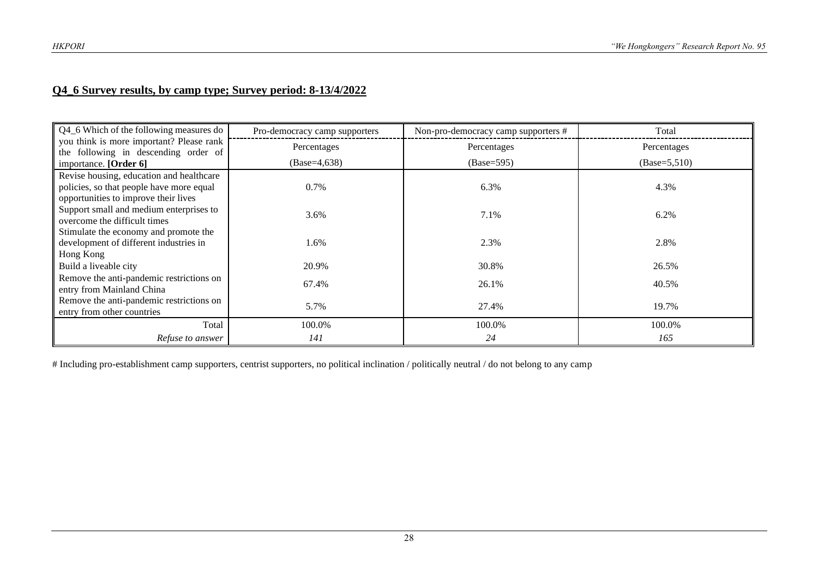## **Q4\_6 Survey results, by camp type; Survey period: 8-13/4/2022**

| Q4_6 Which of the following measures do                                          | Pro-democracy camp supporters | Non-pro-democracy camp supporters # | Total          |
|----------------------------------------------------------------------------------|-------------------------------|-------------------------------------|----------------|
| you think is more important? Please rank<br>the following in descending order of | Percentages                   | Percentages                         | Percentages    |
| importance. [Order 6]                                                            | $(Base=4, 638)$               | $(Base=595)$                        | $(Base=5,510)$ |
| Revise housing, education and healthcare                                         |                               |                                     |                |
| policies, so that people have more equal                                         | 0.7%                          | 6.3%                                | 4.3%           |
| opportunities to improve their lives                                             |                               |                                     |                |
| Support small and medium enterprises to                                          | 3.6%                          | 7.1%                                | 6.2%           |
| overcome the difficult times                                                     |                               |                                     |                |
| Stimulate the economy and promote the                                            |                               |                                     |                |
| development of different industries in                                           | 1.6%                          | 2.3%                                | 2.8%           |
| Hong Kong                                                                        |                               |                                     |                |
| Build a liveable city                                                            | 20.9%                         | 30.8%                               | 26.5%          |
| Remove the anti-pandemic restrictions on                                         | 67.4%                         | 26.1%                               | 40.5%          |
| entry from Mainland China                                                        |                               |                                     |                |
| Remove the anti-pandemic restrictions on                                         | 5.7%                          | 27.4%                               | 19.7%          |
| entry from other countries                                                       |                               |                                     |                |
| Total                                                                            | 100.0%                        | 100.0%                              | 100.0%         |
| Refuse to answer                                                                 | 141                           | 24                                  | 165            |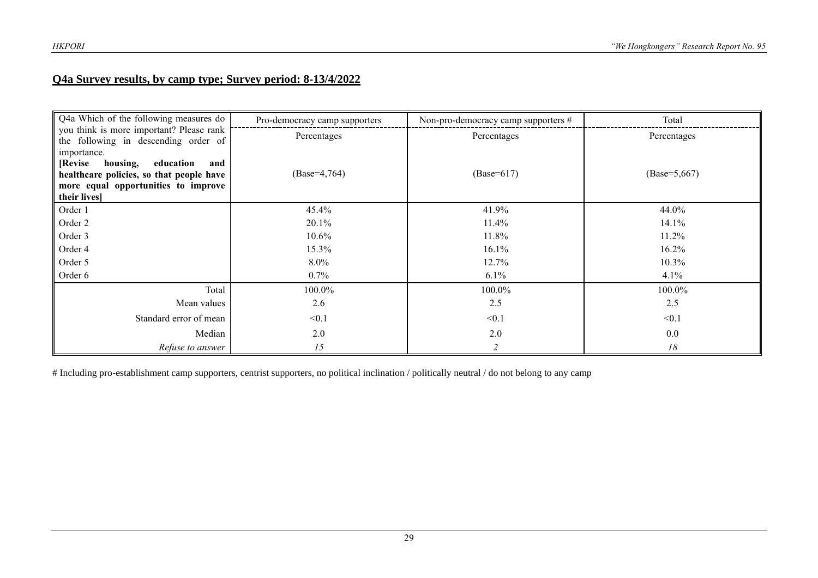#### **Q4a Survey results, by camp type; Survey period: 8-13/4/2022**

| Q4a Which of the following measures do                                           | Pro-democracy camp supporters | Non-pro-democracy camp supporters # | Total          |
|----------------------------------------------------------------------------------|-------------------------------|-------------------------------------|----------------|
| you think is more important? Please rank<br>the following in descending order of | Percentages                   | Percentages                         | Percentages    |
| importance.                                                                      |                               |                                     |                |
| [Revise]<br>housing,<br>education<br>and                                         |                               |                                     |                |
| healthcare policies, so that people have                                         | $(Base=4,764)$                | $(Base=617)$                        | $(Base=5,667)$ |
| more equal opportunities to improve<br>their lives]                              |                               |                                     |                |
| Order 1                                                                          | 45.4%                         | 41.9%                               | 44.0%          |
| Order 2                                                                          | 20.1%                         | 11.4%                               | 14.1%          |
| Order 3                                                                          | $10.6\%$                      | 11.8%                               | 11.2%          |
| Order 4                                                                          | 15.3%                         | 16.1%                               | 16.2%          |
| Order 5                                                                          | 8.0%                          | 12.7%                               | 10.3%          |
| Order 6                                                                          | $0.7\%$                       | $6.1\%$                             | 4.1%           |
| Total                                                                            | 100.0%                        | 100.0%                              | 100.0%         |
| Mean values                                                                      | 2.6                           | 2.5                                 | 2.5            |
| Standard error of mean                                                           | < 0.1                         | < 0.1                               | < 0.1          |
| Median                                                                           | 2.0                           | 2.0                                 | 0.0            |
| Refuse to answer                                                                 | 15                            |                                     | 18             |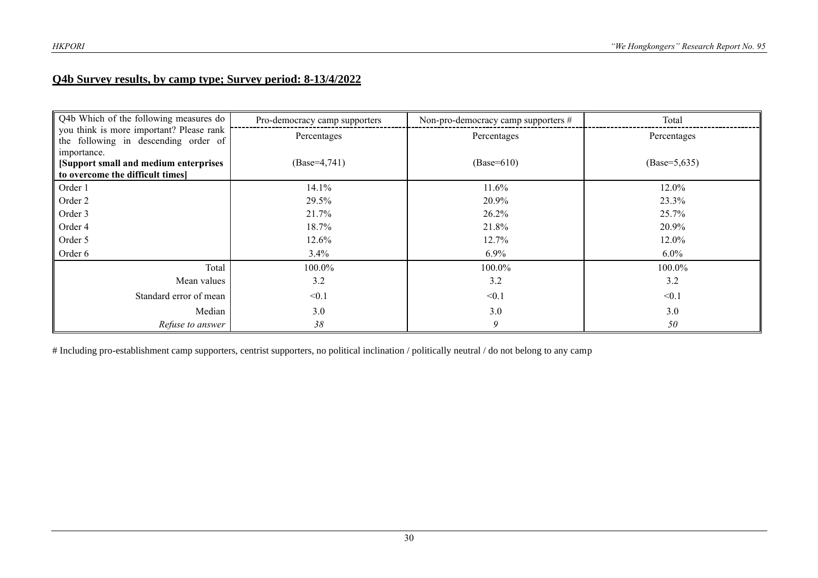#### **Q4b Survey results, by camp type; Survey period: 8-13/4/2022**

| Q4b Which of the following measures do                                                    | Pro-democracy camp supporters | Non-pro-democracy camp supporters # | Total           |
|-------------------------------------------------------------------------------------------|-------------------------------|-------------------------------------|-----------------|
| you think is more important? Please rank<br>the following in descending order of          | Percentages                   | Percentages                         | Percentages     |
| importance.<br>[Support small and medium enterprises]<br>to overcome the difficult times] | $(Base=4,741)$                | $(Base=610)$                        | $(Base=5, 635)$ |
| Order 1                                                                                   | 14.1%                         | 11.6%                               | 12.0%           |
| Order 2                                                                                   | 29.5%                         | 20.9%                               | 23.3%           |
| Order 3                                                                                   | 21.7%                         | $26.2\%$                            | 25.7%           |
| Order 4                                                                                   | 18.7%                         | 21.8%                               | 20.9%           |
| Order 5                                                                                   | 12.6%                         | 12.7%                               | 12.0%           |
| Order 6                                                                                   | 3.4%                          | $6.9\%$                             | $6.0\%$         |
| Total                                                                                     | 100.0%                        | 100.0%                              | 100.0%          |
| Mean values                                                                               | 3.2                           | 3.2                                 | 3.2             |
| Standard error of mean                                                                    | < 0.1                         | < 0.1                               | < 0.1           |
| Median                                                                                    | 3.0                           | 3.0                                 | 3.0             |
| Refuse to answer                                                                          | 38                            | 9                                   | 50              |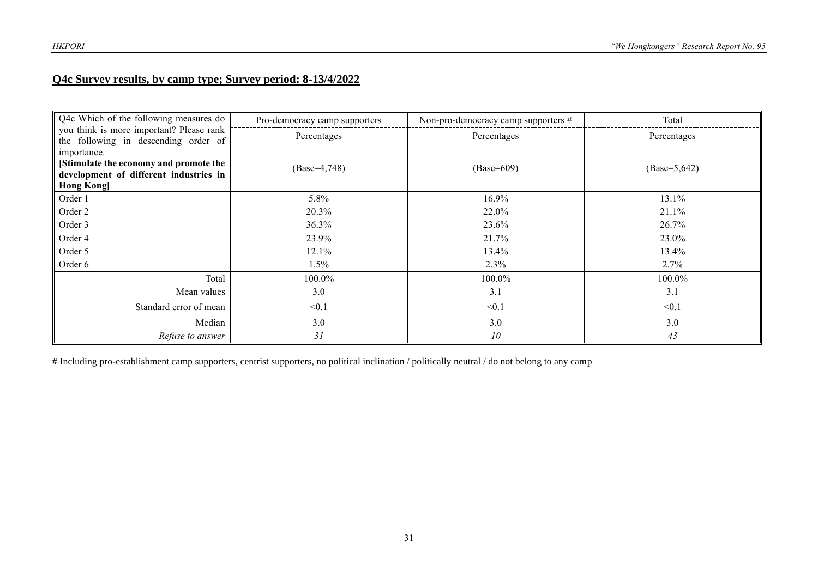#### **Q4c Survey results, by camp type; Survey period: 8-13/4/2022**

| Q4c Which of the following measures do                                           | Pro-democracy camp supporters | Non-pro-democracy camp supporters # | Total           |
|----------------------------------------------------------------------------------|-------------------------------|-------------------------------------|-----------------|
| you think is more important? Please rank<br>the following in descending order of | Percentages                   | Percentages                         | Percentages     |
| importance.                                                                      |                               |                                     |                 |
| [Stimulate the economy and promote the                                           | $(Base=4,748)$                | $(Base=609)$                        | $(Base=5, 642)$ |
| development of different industries in<br><b>Hong Kong</b>                       |                               |                                     |                 |
| Order 1                                                                          | 5.8%                          | 16.9%                               | 13.1%           |
| Order 2                                                                          | 20.3%                         | 22.0%                               | 21.1%           |
| Order 3                                                                          | 36.3%                         | 23.6%                               | 26.7%           |
| Order 4                                                                          | 23.9%                         | 21.7%                               | 23.0%           |
| Order 5                                                                          | 12.1%                         | 13.4%                               | 13.4%           |
| Order 6                                                                          | $1.5\%$                       | 2.3%                                | 2.7%            |
| Total                                                                            | 100.0%                        | 100.0%                              | 100.0%          |
| Mean values                                                                      | 3.0                           | 3.1                                 | 3.1             |
| Standard error of mean                                                           | < 0.1                         | < 0.1                               | < 0.1           |
| Median                                                                           | 3.0                           | 3.0                                 | 3.0             |
| Refuse to answer                                                                 | 31                            | 10                                  | 43              |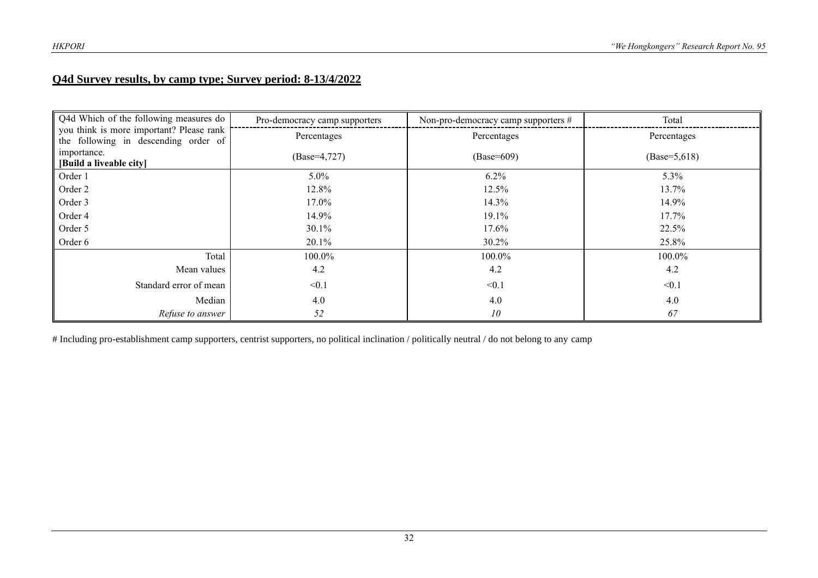#### **Q4d Survey results, by camp type; Survey period: 8-13/4/2022**

| Q4d Which of the following measures do                                           | Pro-democracy camp supporters | Non-pro-democracy camp supporters # | Total           |
|----------------------------------------------------------------------------------|-------------------------------|-------------------------------------|-----------------|
| you think is more important? Please rank<br>the following in descending order of | Percentages                   | Percentages                         | Percentages     |
| importance.<br>[Build a liveable city]                                           | $(Base=4,727)$                | $(Base=609)$                        | $(Base=5, 618)$ |
| Order 1                                                                          | 5.0%                          | $6.2\%$                             | 5.3%            |
| Order 2                                                                          | 12.8%                         | 12.5%                               | 13.7%           |
| Order 3                                                                          | 17.0%                         | 14.3%                               | 14.9%           |
| Order 4                                                                          | 14.9%                         | 19.1%                               | 17.7%           |
| Order 5                                                                          | 30.1%                         | $17.6\%$                            | 22.5%           |
| Order 6                                                                          | 20.1%                         | 30.2%                               | 25.8%           |
| Total                                                                            | 100.0%                        | 100.0%                              | 100.0%          |
| Mean values                                                                      | 4.2                           | 4.2                                 | 4.2             |
| Standard error of mean                                                           | < 0.1                         | < 0.1                               | < 0.1           |
| Median                                                                           | 4.0                           | 4.0                                 | 4.0             |
| Refuse to answer                                                                 | 52                            | 10                                  | 67              |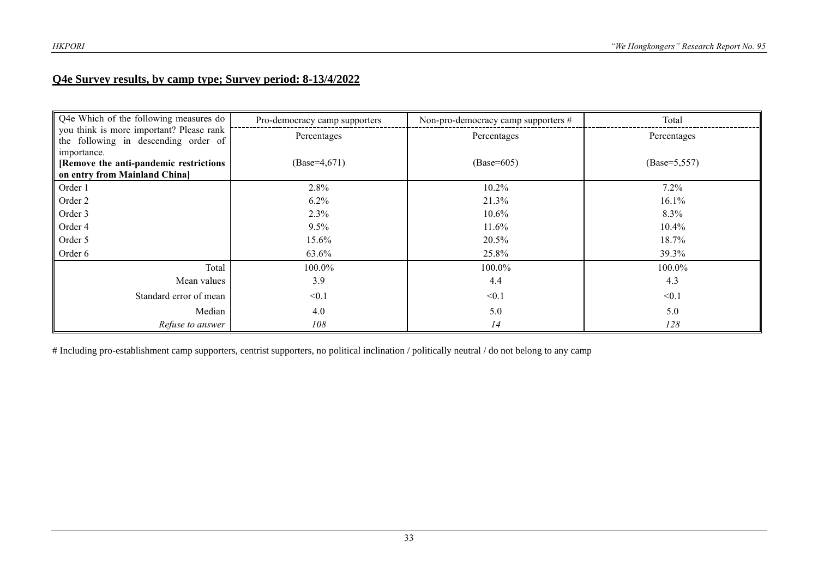#### **Q4e Survey results, by camp type; Survey period: 8-13/4/2022**

| Q4e Which of the following measures do                                                  | Pro-democracy camp supporters | Non-pro-democracy camp supporters # | Total           |
|-----------------------------------------------------------------------------------------|-------------------------------|-------------------------------------|-----------------|
| you think is more important? Please rank<br>the following in descending order of        | Percentages                   | Percentages                         | Percentages     |
| importance.<br>[Remove the anti-pandemic restrictions]<br>on entry from Mainland China] | $(Base=4,671)$                | $(Base=605)$                        | $(Base=5, 557)$ |
| Order 1                                                                                 | 2.8%                          | 10.2%                               | $7.2\%$         |
| Order 2                                                                                 | $6.2\%$                       | 21.3%                               | 16.1%           |
| Order 3                                                                                 | 2.3%                          | $10.6\%$                            | 8.3%            |
| Order 4                                                                                 | $9.5\%$                       | $11.6\%$                            | $10.4\%$        |
| Order 5                                                                                 | 15.6%                         | 20.5%                               | 18.7%           |
| Order 6                                                                                 | 63.6%                         | 25.8%                               | 39.3%           |
| Total                                                                                   | 100.0%                        | 100.0%                              | 100.0%          |
| Mean values                                                                             | 3.9                           | 4.4                                 | 4.3             |
| Standard error of mean                                                                  | < 0.1                         | < 0.1                               | < 0.1           |
| Median                                                                                  | 4.0                           | 5.0                                 | 5.0             |
| Refuse to answer                                                                        | 108                           | 14                                  | 128             |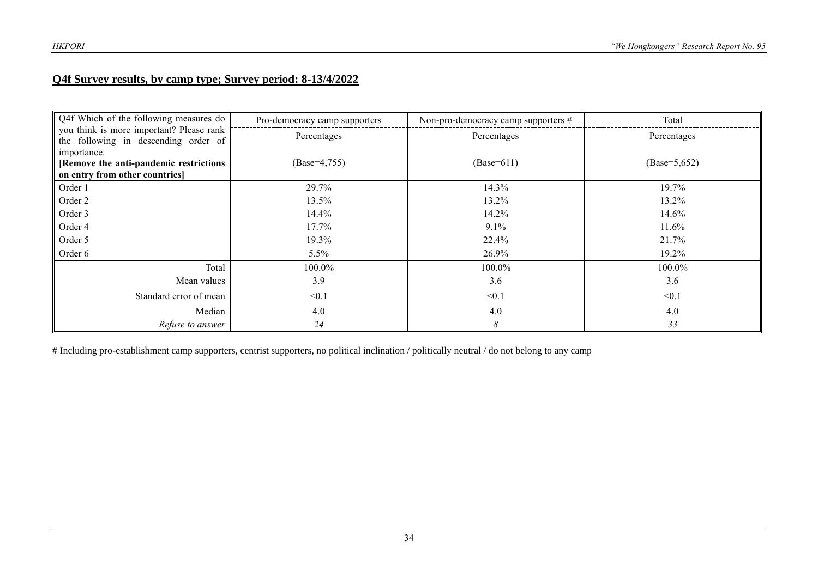#### **Q4f Survey results, by camp type; Survey period: 8-13/4/2022**

| Q4f Which of the following measures do                                                  | Pro-democracy camp supporters | Non-pro-democracy camp supporters # | Total           |
|-----------------------------------------------------------------------------------------|-------------------------------|-------------------------------------|-----------------|
| you think is more important? Please rank<br>the following in descending order of        | Percentages                   | Percentages                         | Percentages     |
| importance.<br>[Remove the anti-pandemic restrictions<br>on entry from other countries] | $(Base=4,755)$                | $(Base=611)$                        | $(Base=5, 652)$ |
| Order 1                                                                                 | 29.7%                         | 14.3%                               | 19.7%           |
| Order 2                                                                                 | 13.5%                         | 13.2%                               | 13.2%           |
| Order 3                                                                                 | 14.4%                         | 14.2%                               | 14.6%           |
| Order 4                                                                                 | $17.7\%$                      | $9.1\%$                             | 11.6%           |
| Order 5                                                                                 | 19.3%                         | 22.4%                               | 21.7%           |
| Order 6                                                                                 | 5.5%                          | 26.9%                               | 19.2%           |
| Total                                                                                   | 100.0%                        | 100.0%                              | 100.0%          |
| Mean values                                                                             | 3.9                           | 3.6                                 | 3.6             |
| Standard error of mean                                                                  | < 0.1                         | < 0.1                               | < 0.1           |
| Median                                                                                  | 4.0                           | 4.0                                 | 4.0             |
| Refuse to answer                                                                        | 24                            | 8                                   | 33              |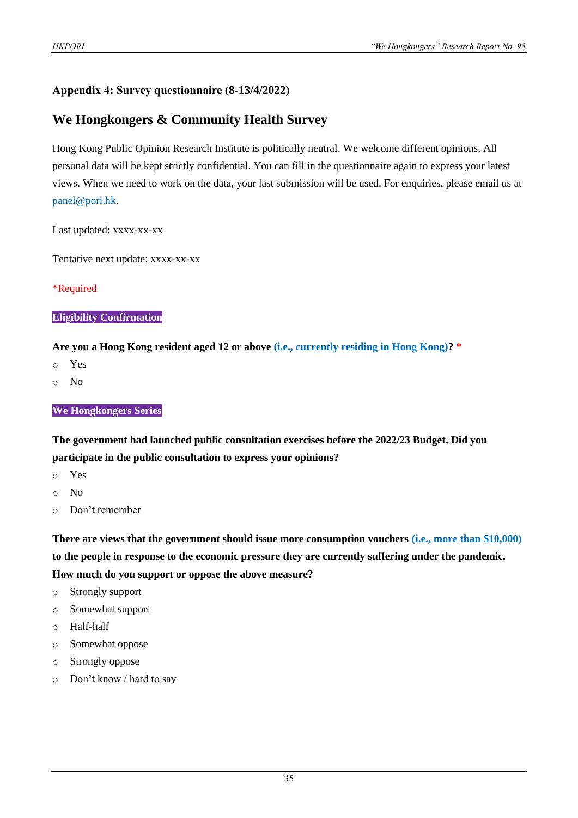#### **Appendix 4: Survey questionnaire (8-13/4/2022)**

#### **We Hongkongers & Community Health Survey**

Hong Kong Public Opinion Research Institute is politically neutral. We welcome different opinions. All personal data will be kept strictly confidential. You can fill in the questionnaire again to express your latest views. When we need to work on the data, your last submission will be used. For enquiries, please email us at panel@pori.hk.

Last updated: xxxx-xx-xx

Tentative next update: xxxx-xx-xx

#### \*Required

#### **Eligibility Confirmation**

**Are you a Hong Kong resident aged 12 or above (i.e., currently residing in Hong Kong)? \***

- o Yes
- o No

#### **We Hongkongers Series**

**The government had launched public consultation exercises before the 2022/23 Budget. Did you participate in the public consultation to express your opinions?**

- o Yes
- o No
- o Don't remember

**There are views that the government should issue more consumption vouchers (i.e., more than \$10,000) to the people in response to the economic pressure they are currently suffering under the pandemic. How much do you support or oppose the above measure?**

- o Strongly support
- o Somewhat support
- o Half-half
- o Somewhat oppose
- o Strongly oppose
- o Don't know / hard to say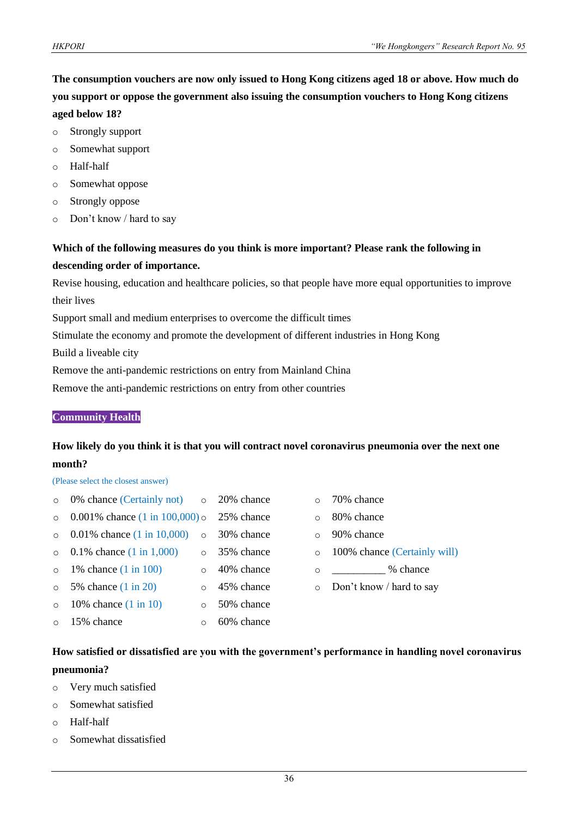**The consumption vouchers are now only issued to Hong Kong citizens aged 18 or above. How much do you support or oppose the government also issuing the consumption vouchers to Hong Kong citizens aged below 18?**

- o Strongly support
- o Somewhat support
- o Half-half
- o Somewhat oppose
- o Strongly oppose
- o Don't know / hard to say

#### **Which of the following measures do you think is more important? Please rank the following in descending order of importance.**

Revise housing, education and healthcare policies, so that people have more equal opportunities to improve their lives

Support small and medium enterprises to overcome the difficult times

Stimulate the economy and promote the development of different industries in Hong Kong

Build a liveable city

Remove the anti-pandemic restrictions on entry from Mainland China

Remove the anti-pandemic restrictions on entry from other countries

#### **Community Health**

#### **How likely do you think it is that you will contract novel coronavirus pneumonia over the next one month?**

#### (Please select the closest answer)

| $\circ$  | 0% chance (Certainly not) $\circ$ 20% chance         |        |            |
|----------|------------------------------------------------------|--------|------------|
| $\circ$  | 0.001% chance $(1 \text{ in } 100,000)$ o 25% chance |        |            |
| $\Omega$ | 0.01% chance $(1 \text{ in } 10,000)$ o 30% chance   |        |            |
| $\Omega$ | 0.1% chance $(1 \text{ in } 1,000)$                  | $\cap$ | 35% chance |
| $\circ$  | 1% chance $(1 \text{ in } 100)$                      |        | 40% chance |
| $\circ$  | 5% chance (1 in 20)                                  |        | 45% chance |
| $\Omega$ | 10% chance $(1 \text{ in } 10)$                      |        | 50% chance |
| $\circ$  | 15% chance                                           |        | 60% chance |

- o 70% chance
- o 80% chance
- o 90% chance
- o 100% chance (Certainly will)
- $\degree$   $\degree$  chance
- o Don't know / hard to say

#### **How satisfied or dissatisfied are you with the government's performance in handling novel coronavirus pneumonia?**

- o Very much satisfied
- o Somewhat satisfied
- o Half-half
- o Somewhat dissatisfied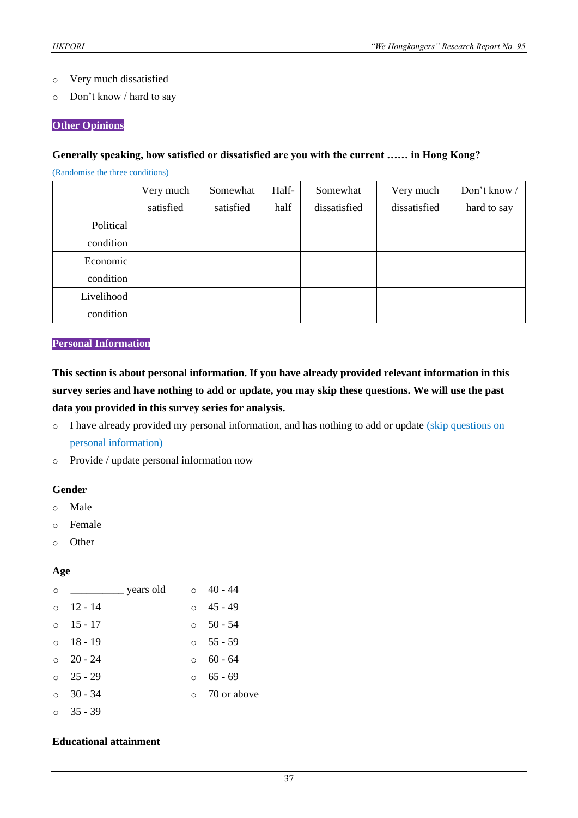- o Very much dissatisfied
- o Don't know / hard to say

#### **Other Opinions**

#### **Generally speaking, how satisfied or dissatisfied are you with the current …… in Hong Kong?**

(Randomise the three conditions)

|            | Very much | Somewhat  | Half- | Somewhat     | Very much    | Don't know / |
|------------|-----------|-----------|-------|--------------|--------------|--------------|
|            | satisfied | satisfied | half  | dissatisfied | dissatisfied | hard to say  |
| Political  |           |           |       |              |              |              |
| condition  |           |           |       |              |              |              |
| Economic   |           |           |       |              |              |              |
| condition  |           |           |       |              |              |              |
| Livelihood |           |           |       |              |              |              |
| condition  |           |           |       |              |              |              |

#### **Personal Information**

**This section is about personal information. If you have already provided relevant information in this survey series and have nothing to add or update, you may skip these questions. We will use the past data you provided in this survey series for analysis.**

- o I have already provided my personal information, and has nothing to add or update (skip questions on personal information)
- o Provide / update personal information now

#### **Gender**

- o Male
- o Female
- o Other

#### **Age**

| $\circ$  | _ years old     |          | $\circ$ 40 - 44     |
|----------|-----------------|----------|---------------------|
| $\circ$  | - 12 - 14       |          | $\circ$ 45 - 49     |
| $\circ$  | $15 - 17$       |          | $\circ$ 50 - 54     |
|          | $\circ$ 18 - 19 |          | $\circ$ 55 - 59     |
|          | $\circ$ 20 - 24 |          | $\circ$ 60 - 64     |
|          | $\circ$ 25 - 29 | $\Omega$ | $65 - 69$           |
| $\Omega$ | $30 - 34$       |          | $\circ$ 70 or above |
|          | $\circ$ 35 - 39 |          |                     |

#### **Educational attainment**